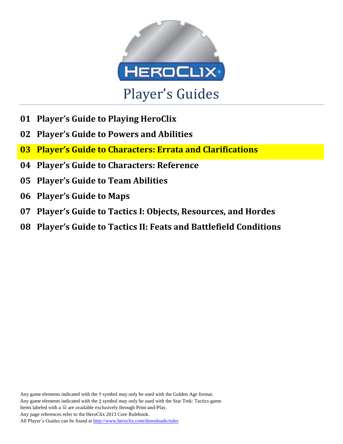

- **01 Player's Guide to Playing HeroClix**
- **02 Player's Guide to Powers and Abilities**
- **03 Player's Guide to Characters: Errata and Clarifications**
- **04 Player's Guide to Characters: Reference**
- **05 Player's Guide to Team Abilities**
- **06 Player's Guide to Maps**
- **07 Player's Guide to Tactics I: Objects, Resources, and Hordes**
- **08 Player's Guide to Tactics II: Feats and Battlefield Conditions**

Any game elements indicated with the **†** symbol may only be used with the Golden Age format. Any game elements indicated with the **‡** symbol may only be used with the Star Trek: Tactics game. Items labeled with a  $\Box$  are available exclusively through Print-and-Play. Any page references refer to the HeroClix 2013 Core Rulebook. All Player's Guides can be found a[t http://www.heroclix.com/downloads/rules](http://www.heroclix.com/downloads/rules)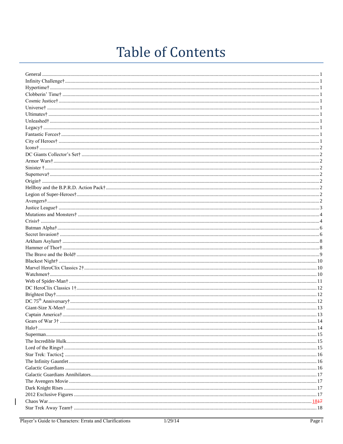# **Table of Contents**

| DC 75 <sup>th</sup> An同 versus 12 |  |
|-----------------------------------|--|
|                                   |  |
|                                   |  |
|                                   |  |
|                                   |  |
|                                   |  |
|                                   |  |
|                                   |  |
|                                   |  |
|                                   |  |
|                                   |  |
|                                   |  |
|                                   |  |
|                                   |  |
|                                   |  |
|                                   |  |
|                                   |  |
|                                   |  |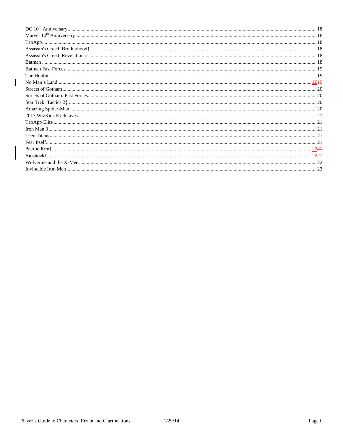| 22 <del>21</del> |
|------------------|
|                  |
|                  |
|                  |

 $\overline{\phantom{a}}$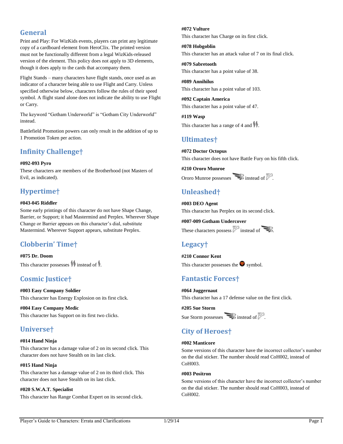# <span id="page-3-0"></span>**General**

Print and Play: For WizKids events, players can print any legitimate copy of a cardboard element from HeroClix. The printed version must not be functionally different from a legal WizKids-released version of the element. This policy does not apply to 3D elements, though it does apply to the cards that accompany them.

Flight Stands – many characters have flight stands, once used as an indicator of a character being able to use Flight and Carry. Unless specified otherwise below, characters follow the rules of their speed symbol. A flight stand alone does not indicate the ability to use Flight or Carry.

The keyword "Gotham Underworld" is "Gotham City Underworld" instead.

Battlefield Promotion powers can only result in the addition of up to 1 Promotion Token per action.

# <span id="page-3-1"></span>**Infinity Challenge†**

# **#092-093 Pyro**

These characters are members of the Brotherhood (not Masters of Evil, as indicated).

# <span id="page-3-2"></span>**Hypertime†**

# **#043-045 Riddler**

Some early printings of this character do not have Shape Change, Barrier, or Support; it had Mastermind and Perplex. Wherever Shape Change or Barrier appears on this character's dial, substitute Mastermind. Wherever Support appears, substitute Perplex.

# <span id="page-3-3"></span>**Clobberin' Time†**

**#075 Dr. Doom** This character possesses  $\mathcal{H}$  instead of  $\mathcal{H}$ .

# <span id="page-3-4"></span>**Cosmic Justice†**

**#003 Easy Company Soldier** This character has Energy Explosion on its first click.

**#004 Easy Company Medic** This character has Support on its first two clicks.

# <span id="page-3-5"></span>**Universe†**

# **#014 Hand Ninja**

This character has a damage value of 2 on its second click. This character does not have Stealth on its last click.

# **#015 Hand Ninja**

This character has a damage value of 2 on its third click. This character does not have Stealth on its last click.

**#020 S.W.A.T. Specialist**

This character has Range Combat Expert on its second click.

# **#072 Vulture**

This character has Charge on its first click.

**#078 Hobgoblin** This character has an attack value of 7 on its final click.

**#079 Sabretooth** This character has a point value of 38.

**#089 Annihilus** This character has a point value of 103.

**#092 Captain America** This character has a point value of 47.

**#119 Wasp** This character has a range of 4 and  $\mathbf{\hat{H}}$ .

# <span id="page-3-6"></span>**Ultimates†**

**#072 Doctor Octopus** This character does not have Battle Fury on his fifth click.

**#210 Ororo Munroe** Ororo Munroe possesses instead of  $\mathbb{Z}$ 

# <span id="page-3-7"></span>**Unleashed†**

**#003 DEO Agent** This character has Perplex on its second click.

**#007-009 Gotham Undercover** These characters possess  $\mathbb{Z}$  instead of

# <span id="page-3-8"></span>**Legacy†**

**#210 Connor Kent** This character possesses the  $\bullet$  symbol.

# <span id="page-3-9"></span>**Fantastic Forces†**

**#064 Juggernaut** This character has a 17 defense value on the first click.

**#205 Sue Storm** Sue Storm possesses instead of

# <span id="page-3-10"></span>**City of Heroes†**

# **#002 Manticore**

Some versions of this character have the incorrect collector's number on the dial sticker. The number should read CoH002, instead of CoH003.

# **#003 Positron**

Some versions of this character have the incorrect collector's number on the dial sticker. The number should read CoH003, instead of CoH002.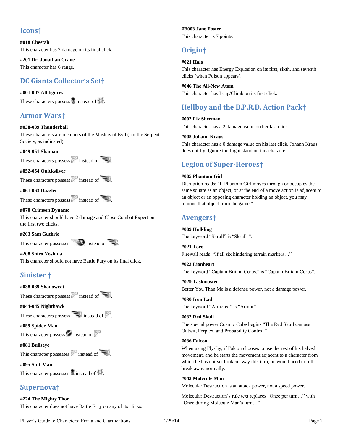# <span id="page-4-0"></span>**Icons†**

**#018 Cheetah** This character has 2 damage on its final click.

**#201 Dr. Jonathan Crane** This character has 6 range.

# <span id="page-4-1"></span>**DC Giants Collector's Set†**

# **#001-007 All figures**

These characters possess  $\overline{\mathbf{A}}$  instead of  $\mathbb{H}$ .

# <span id="page-4-2"></span>**Armor Wars†**

# **#038-039 Thunderball**

These characters are members of the Masters of Evil (not the Serpent Society, as indicated).

# **#049-051 Shaman**

These characters possess  $\mathbb{Z}$  instead of

# **#052-054 Quicksilver**

These characters possess instead of  $\Box$ 

# **#061-063 Dazzler**

These characters possess instead of  $\Box$ 

# **#070 Crimson Dynamo**

This character should have 2 damage and Close Combat Expert on the first two clicks.

# **#203 Sam Guthrie**

This character possesses  $\Box$  instead of  $\Box$ 

**#208 Shiro Yoshida** This character should not have Battle Fury on its final click.

# <span id="page-4-3"></span>**Sinister †**

# **#038-039 Shadowcat**

These characters possess instead of  $\Box$ 

**#044-045 Nighthawk**

These characters possess  $\blacksquare$  instead of  $\blacksquare$ .

# **#059 Spider-Man**

This character possess  $\bullet$  instead of  $\mathbb{Z}$ .

**#081 Bullseye**

This character possesses  $\sim$  instead of  $\approx$ 

# **#095 Stilt-Man**

This character possesses  $\mathcal{R}$  instead of  $\mathcal{H}$ .

# <span id="page-4-4"></span>**Supernova†**

# **#224 The Mighty Thor**

This character does not have Battle Fury on any of its clicks.

**#B003 Jane Foster** This character is 7 points.

# <span id="page-4-5"></span>**Origin†**

# **#021 Halo**

This character has Energy Explosion on its first, sixth, and seventh clicks (when Poison appears).

**#046 The All-New Atom** This character has Leap/Climb on its first click.

# <span id="page-4-6"></span>**Hellboy and the B.P.R.D. Action Pack†**

**#002 Liz Sherman** This character has a 2 damage value on her last click.

**#005 Johann Kraus** This character has a 0 damage value on his last click. Johann Kraus does not fly. Ignore the flight stand on this character.

# <span id="page-4-7"></span>**Legion of Super-Heroes†**

# **#005 Phantom Girl**

Disruption reads: "If Phantom Girl moves through or occupies the same square as an object, or at the end of a move action is adjacent to an object or an opposing character holding an object, you may remove that object from the game."

# <span id="page-4-8"></span>**Avengers†**

**#009 Hulkling** The keyword "Skrull" is "Skrulls".

**#021 Toro** Firewall reads: "If all six hindering terrain markers…"

**#023 Lionheart** The keyword "Captain Britain Corps." is "Captain Britain Corps".

**#029 Taskmaster** Better You Than Me is a defense power, not a damage power.

**#030 Iron Lad** The keyword "Armored" is "Armor".

**#032 Red Skull** The special power Cosmic Cube begins "The Red Skull can use Outwit, Perplex, and Probability Control."

# **#036 Falcon**

When using Fly-By, if Falcon chooses to use the rest of his halved movement, and he starts the movement adjacent to a character from which he has not yet broken away this turn, he would need to roll break away normally.

# **#043 Molecule Man**

Molecular Destruction is an attack power, not a speed power.

Molecular Destruction's rule text replaces "Once per turn…" with "Once during Molecule Man's turn…"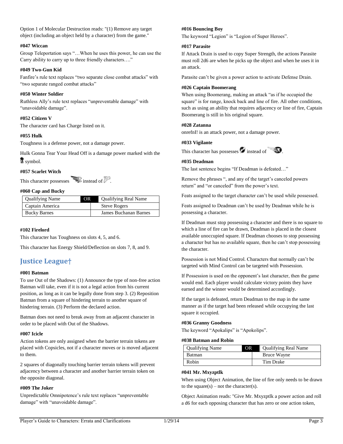Option 1 of Molecular Destruction reads: "(1) Remove any target object (including an object held by a character) from the game."

# **#047 Wiccan**

Group Teleportation says "…When he uses this power, he can use the Carry ability to carry up to three friendly characters…."

# **#049 Two-Gun Kid**

Fanfire's rule text replaces "two separate close combat attacks" with "two separate ranged combat attacks"

# **#050 Winter Soldier**

Ruthless Ally's rule text replaces "unpreventable damage" with "unavoidable damage".

# **#052 Citizen V**

The character card has Charge listed on it.

# **#055 Hulk**

Toughness is a defense power, not a damage power.

Hulk Gonna Tear Your Head Off is a damage power marked with the symbol.

# **#057 Scarlet Witch**

This character possesses  $\blacksquare$  instead of  $\mathbb Z$ .

# **#060 Cap and Bucky**

| <b>Qualifying Name</b> | <b>OR</b> | <b>Qualifying Real Name</b> |
|------------------------|-----------|-----------------------------|
| Captain America        |           | <b>Steve Rogers</b>         |
| <b>Bucky Barnes</b>    |           | James Buchanan Barnes       |

# **#102 Firelord**

This character has Toughness on slots 4, 5, and 6.

This character has Energy Shield/Deflection on slots 7, 8, and 9.

# <span id="page-5-0"></span>**Justice League†**

# **#001 Batman**

To use Out of the Shadows: (1) Announce the type of non-free action Batman will take, even if it is not a legal action from his current position, as long as it can be legally done from step 3. (2) Reposition Batman from a square of hindering terrain to another square of hindering terrain. (3) Perform the declared action.

Batman does not need to break away from an adjacent character in order to be placed with Out of the Shadows.

# **#007 Icicle**

Action tokens are only assigned when the barrier terrain tokens are placed with Copsicles, not if a character moves or is moved adjacent to them.

2 squares of diagonally touching barrier terrain tokens will prevent adjacency between a character and another barrier terrain token on the opposite diagonal.

# **#009 The Joker**

Unpredictable Omnipotence's rule text replaces "unpreventable damage" with "unavoidable damage".

# **#016 Bouncing Boy**

The keyword "Legion" is "Legion of Super Heroes".

# **#017 Parasite**

If Attack Drain is used to copy Super Strength, the actions Parasite must roll 2d6 are when he picks up the object and when he uses it in an attack.

Parasite can't be given a power action to activate Defense Drain.

# **#026 Captain Boomerang**

When using Boomerang, making an attack "as if he occupied the square" is for range, knock back and line of fire. All other conditions, such as using an ability that requires adjacency or line of fire, Captain Boomerang is still in his original square.

# **#028 Zatanna**

onrefnI! is an attack power, not a damage power.

# **#033 Vigilante**



# **#035 Deadman**

The last sentence begins "If Deadman is defeated…"

Remove the phrases ", and any of the target's canceled powers return" and "or canceled" from the power's text.

Feats assigned to the target character can't be used while possessed.

Feats assigned to Deadman can't be used by Deadman while he is possessing a character.

If Deadman must stop possessing a character and there is no square to which a line of fire can be drawn, Deadman is placed in the closest available unoccupied square. If Deadman chooses to stop possessing a character but has no available square, then he can't stop possessing the character.

Possession is not Mind Control. Characters that normally can't be targeted with Mind Control can be targeted with Possession.

If Possession is used on the opponent's last character, then the game would end. Each player would calculate victory points they have earned and the winner would be determined accordingly.

If the target is defeated, return Deadman to the map in the same manner as if the target had been released while occupying the last square it occupied.

# **#036 Granny Goodness**

The keyword "Apokalips" is "Apokolips".

# **#038 Batman and Robin**

| <b>Qualifying Name</b> | OR. | <b>Qualifying Real Name</b> |
|------------------------|-----|-----------------------------|
| <b>Batman</b>          |     | Bruce Wayne                 |
| Robin                  |     | Tim Drake                   |

# **#041 Mr. Mxyzptlk**

When using Object Animation, the line of fire only needs to be drawn to the square $(s)$  – not the character $(s)$ .

Object Animation reads: "Give Mr. Mxyzptlk a power action and roll a d6 for each opposing character that has zero or one action token,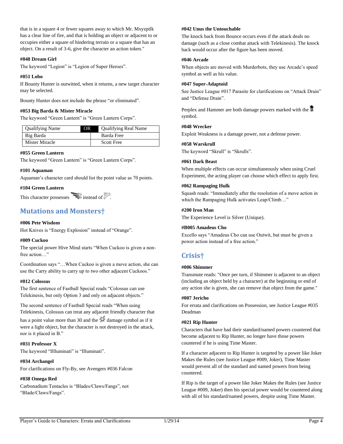that is in a square 4 or fewer squares away to which Mr. Mxyzptlk has a clear line of fire, and that is holding an object or adjacent to or occupies either a square of hindering terrain or a square that has an object. On a result of 3-6, give the character an action token."

# **#048 Dream Girl**

The keyword "Legion" is "Legion of Super Heroes".

# **#051 Lobo**

If Bounty Hunter is outwitted, when it returns, a new target character may be selected.

Bounty Hunter does not include the phrase "or eliminated".

# **#053 Big Barda & Mister Miracle**

The keyword "Green Lantern" is "Green Lantern Corps".

| <b>Qualifying Name</b> | <b>Qualifying Real Name</b><br>OR |  |
|------------------------|-----------------------------------|--|
| Big Barda              | Barda Free                        |  |
| Mister Miracle         | <b>Scott Free</b>                 |  |

# **#055 Green Lantern**

The keyword "Green Lantern" is "Green Lantern Corps".

# **#101 Aquaman**

Aquaman's character card should list the point value as 70 points.

# **#104 Green Lantern**

This character possesses  $\sum$  instead of  $\geq$ 

# <span id="page-6-0"></span>**Mutations and Monsters†**

# **#006 Pete Wisdom**

Hot Knives is "Energy Explosion" instead of "Orange".

# **#009 Cuckoo**

The special power Hive Mind starts "When Cuckoo is given a nonfree action…"

Coordination says "…When Cuckoo is given a move action, she can use the Carry ability to carry up to two other adjacent Cuckoos."

#### **#012 Colossus**

The first sentence of Fastball Special reads "Colossus can use Telekinesis, but only Option 3 and only on adjacent objects."

The second sentence of Fastball Special reads "When using Telekinesis, Colossus can treat any adjacent friendly character that has a point value more than 30 and the  $\frac{1}{2}$  damage symbol as if it were a light object, but the character is not destroyed in the attack, nor is it placed in B."

# **#031 Professor X**

The keyword "Illluminati" is "Illuminati".

# **#034 Archangel**

For clarifications on Fly-By, see Avengers #036 Falcon

# **#038 Omega Red**

Carbonadium Tentacles is "Blades/Claws/Fangs", not "Blade/Claws/Fangs".

#### **#042 Unus the Untouchable**

The knock back from Bounce occurs even if the attack deals no damage (such as a close combat attack with Telekinesis). The knock back would occur after the figure has been moved.

#### **#046 Arcade**

When objects are moved with Murderbots, they use Arcade's speed symbol as well as his value.

#### **#047 Super-Adaptoid**

See Justice League #017 Parasite for clarifications on "Attack Drain" and "Defense Drain".

Perplex and Hammer are both damage powers marked with the symbol.

# **#048 Wrecker**

Exploit Weakness is a damage power, not a defense power.

# **#058 Warskrull**

The keyword "Skrull" is "Skrulls".

# **#061 Dark Beast**

When multiple effects can occur simultaneously when using Cruel Experiment, the acting player can choose which effect to apply first.

#### **#062 Rampaging Hulk**

Squash reads: "Immediately after the resolution of a move action in which the Rampaging Hulk activates Leap/Climb..."

#### **#200 Iron Man**

The Experience Level is Silver (Unique).

#### **#B005 Amadeus Cho**

Excello says "Amadeus Cho can use Outwit, but must be given a power action instead of a free action."

# <span id="page-6-1"></span>**Crisis†**

# **#006 Shimmer**

Transmute reads: "Once per turn, if Shimmer is adjacent to an object (including an object held by a character) at the beginning or end of any action she is given, she can remove that object from the game."

# **#007 Jericho**

For errata and clarifications on Possession, see Justice League #035 Deadman

# **#021 Rip Hunter**

Characters that have had their standard/named powers countered that become adjacent to Rip Hunter, no longer have those powers countered if he is using Time Master.

If a character adjacent to Rip Hunter is targeted by a power like Joker Makes the Rules (see Justice League #009, Joker), Time Master would prevent all of the standard and named powers from being countered.

If Rip is the target of a power like Joker Makes the Rules (see Justice League #009, Joker) then his special power would be countered along with all of his standard/named powers, despite using Time Master.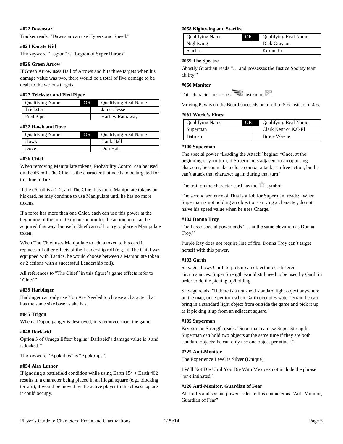# **#022 Dawnstar**

Tracker reads: "Dawnstar can use Hypersonic Speed."

# **#024 Karate Kid**

The keyword "Legion" is "Legion of Super Heroes".

# **#026 Green Arrow**

If Green Arrow uses Hail of Arrows and hits three targets when his damage value was two, there would be a total of five damage to be dealt to the various targets.

# **#027 Trickster and Pied Piper**

| <b>Qualifying Name</b> | <b>Qualifying Real Name</b><br>OR. |
|------------------------|------------------------------------|
| Trickster              | James Jesse                        |
| Pied Piper             | <b>Hartley Rathaway</b>            |

# **#032 Hawk and Dove**

| <b>Qualifying Name</b> | OR. | <b>Qualifying Real Name</b> |
|------------------------|-----|-----------------------------|
| Hawk                   |     | Hank Hall                   |
| Dove                   |     | Don Hall                    |

# **#036 Chief**

When removing Manipulate tokens, Probability Control can be used on the d6 roll. The Chief is the character that needs to be targeted for this line of fire.

If the d6 roll is a 1-2, and The Chief has more Manipulate tokens on his card, he may continue to use Manipulate until he has no more tokens.

If a force has more than one Chief, each can use this power at the beginning of the turn. Only one action for the action pool can be acquired this way, but each Chief can roll to try to place a Manipulate token.

When The Chief uses Manipulate to add a token to his card it replaces all other effects of the Leadership roll (e.g., if The Chief was equipped with Tactics, he would choose between a Manipulate token or 2 actions with a successful Leadership roll).

All references to "The Chief" in this figure's game effects refer to "Chief."

# **#039 Harbinger**

Harbinger can only use You Are Needed to choose a character that has the same size base as she has.

# **#045 Trigon**

When a Doppelganger is destroyed, it is removed from the game.

# **#048 Darkseid**

Option 3 of Omega Effect begins "Darkseid's damage value is 0 and is locked."

The keyword "Apokalips" is "Apokolips".

# **#054 Alex Luthor**

If ignoring a battlefield condition while using Earth 154 + Earth 462 results in a character being placed in an illegal square (e.g., blocking terrain), it would be moved by the active player to the closest square it could occupy.

#### **#058 Nightwing and Starfire**

| <b>Qualifying Name</b> | OR. | <b>Qualifying Real Name</b> |
|------------------------|-----|-----------------------------|
| Nightwing              |     | Dick Grayson                |
| <b>Starfire</b>        |     | Koriand'r                   |

#### **#059 The Spectre**

Ghostly Guardian reads "… and possesses the Justice Society team ability."

#### **#060 Monitor**

Moving Pawns on the Board succeeds on a roll of 5-6 instead of 4-6.

#### **#061 World's Finest**

| <b>Qualifying Name</b> | ОR | <b>Qualifying Real Name</b> |
|------------------------|----|-----------------------------|
| Superman               |    | Clark Kent or Kal-El        |
| <b>Batman</b>          |    | Bruce Wayne                 |

#### **#100 Superman**

The special power "Leading the Attack" begins: "Once, at the beginning of your turn, if Superman is adjacent to an opposing character, he can make a close combat attack as a free action, but he can't attack that character again during that turn."

The trait on the character card has the  $\mathbb{\hat{K}}$  symbol.

The second sentence of This Is a Job for Superman! reads: "When Superman is not holding an object or carrying a character, do not halve his speed value when he uses Charge."

#### **#102 Donna Troy**

The Lasso special power ends "… at the same elevation as Donna Troy."

Purple Ray does not require line of fire. Donna Troy can't target herself with this power.

# **#103 Garth**

Salvage allows Garth to pick up an object under different circumstances. Super Strength would still need to be used by Garth in order to do the picking up/holding.

Salvage reads: "If there is a non-held standard light object anywhere on the map, once per turn when Garth occupies water terrain he can bring in a standard light object from outside the game and pick it up as if picking it up from an adjacent square."

# **#105 Superman**

Kryptonian Strength reads: "Superman can use Super Strength. Superman can hold two objects at the same time if they are both standard objects; he can only use one object per attack."

# **#225 Anti-Monitor**

The Experience Level is Silver (Unique).

I Will Not Die Until You Die With Me does not include the phrase "or eliminated".

# **#226 Anti-Monitor, Guardian of Fear**

All trait's and special powers refer to this character as "Anti-Monitor, Guardian of Fear"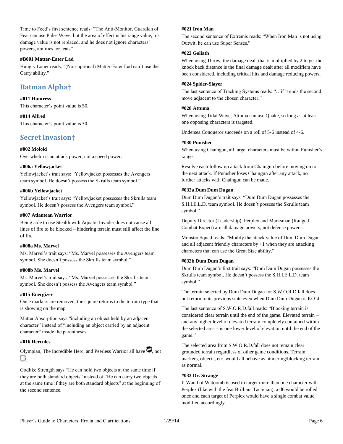Time to Feed's first sentence reads: "The Anti-Monitor, Guardian of Fear can use Pulse Wave, but the area of effect is his range value, his damage value is not replaced, and he does not ignore characters' powers, abilities, or feats"

# **#B001 Matter-Eater Lad**

Hungry Loner reads: "(Non-optional) Matter-Eater Lad can't use the Carry ability."

# <span id="page-8-0"></span>**Batman Alpha†**

**#011 Huntress** This character's point value is 50.

**#014 Alfred** This character's point value is 30.

# <span id="page-8-1"></span>**Secret Invasion†**

# **#002 Moloid**

Overwhelm is an attack power, not a speed power.

# **#006a Yellowjacket**

Yellowjacket's trait says: "Yellowjacket possesses the Avengers team symbol. He doesn't possess the Skrulls team symbol."

# **#006b Yellowjacket**

Yellowjacket's trait says: "Yellowjacket possesses the Skrulls team symbol. He doesn't possess the Avengers team symbol."

#### **#007 Atlantean Warrior**

Being able to use Stealth with Aquatic Invader does not cause all lines of fire to be blocked – hindering terrain must still affect the line of fire.

# **#008a Ms. Marvel**

Ms. Marvel's trait says: "Ms. Marvel possesses the Avengers team symbol. She doesn't possess the Skrulls team symbol."

# **#008b Ms. Marvel**

Ms. Marvel's trait says: "Ms. Marvel possesses the Skrulls team symbol. She doesn't possess the Avengers team symbol."

# **#015 Energizer**

Once markers are removed, the square returns to the terrain type that is showing on the map.

Matter Absorption says "including an object held by an adjacent character" instead of "including an object carried by an adjacent character" inside the parentheses.

# **#016 Hercules**

Olympian, The Incredible Herc, and Peerless Warrior all have  $\Box$  not 8

Godlike Strength says "He can hold two objects at the same time if they are both standard objects" instead of "He can carry two objects at the same time if they are both standard objects" at the beginning of the second sentence.

# **#021 Iron Man**

The second sentence of Extremis reads: "When Iron Man is not using Outwit, he can use Super Senses."

# **#022 Goliath**

When using Throw, the damage dealt that is multiplied by 2 to get the knock back distance is the final damage dealt after all modifiers have been considered, including critical hits and damage reducing powers.

#### **#024 Spider-Slayer**

The last sentence of Tracking Systems reads: "…if it ends the second move adjacent to the chosen character."

# **#028 Attuma**

When using Tidal Wave, Attuma can use Quake, so long as at least one opposing characters is targeted.

Undersea Conqueror succeeds on a roll of 5-6 instead of 4-6.

#### **#030 Punisher**

When using Chaingun, all target characters must be within Punisher's range.

Resolve each follow up attack from Chaingun before moving on to the next attack. If Punisher loses Chaingun after any attack, no further attacks with Chaingun can be made.

#### **#032a Dum Dum Dugan**

Dum Dum Dugan's trait says: "Dum Dum Dugan possesses the S.H.I.E.L.D. team symbol. He doesn't possess the Skrulls team symbol."

Deputy Director (Leadership), Perplex and Marksman (Ranged Combat Expert) are all damage powers, not defense powers.

Monster Squad reads: "Modify the attack value of Dum Dum Dugan and all adjacent friendly characters by  $+1$  when they are attacking characters that can use the Great Size ability."

#### **#032b Dum Dum Dugan**

Dum Dum Dugan's first trait says: "Dum Dum Dugan possesses the Skrulls team symbol. He doesn't possess the S.H.I.E.L.D. team symbol."

The terrain selected by Dum Dum Dugan for S.W.O.R.D.fall does not return to its previous state even when Dum Dum Dugan is KO'd.

The last sentence of S.W.O.R.D.fall reads: "Blocking terrain is considered clear terrain until the end of the game. Elevated terrain – and any higher level of elevated terrain completely contained within the selected area – is one lower level of elevation until the end of the game."

The selected area from S.W.O.R.D.fall does not remain clear grounded terrain regardless of other game conditions. Terrain markers, objects, etc. would all behave as hindering/blocking terrain as normal.

#### **#033 Dr. Strange**

If Wand of Watoomb is used to target more than one character with Perplex (like with the feat Brilliant Tactician), a d6 would be rolled once and each target of Perplex would have a single combat value modified accordingly.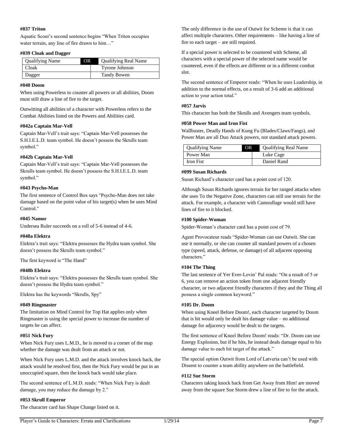# **#037 Triton**

Aquatic Scout's second sentence begins "When Triton occupies water terrain, any line of fire drawn to him..."

#### **#039 Cloak and Dagger**

| <b>Qualifying Name</b> | OR | <b>Qualifying Real Name</b> |
|------------------------|----|-----------------------------|
| Cloak                  |    | Tyrone Johnson              |
| Dagger                 |    | Tandy Bowen                 |

#### **#040 Doom**

When using Powerless to counter all powers or all abilities, Doom must still draw a line of fire to the target.

Outwitting all abilities of a character with Powerless refers to the Combat Abilities listed on the Powers and Abilities card.

# **#042a Captain Mar-Vell**

Captain Mar-Vell's trait says: "Captain Mar-Vell possesses the S.H.I.E.L.D. team symbol. He doesn't possess the Skrulls team symbol."

# **#042b Captain Mar-Vell**

Captain Mar-Vell's trait says: "Captain Mar-Vell possesses the Skrulls team symbol. He doesn't possess the S.H.I.E.L.D. team symbol."

#### **#043 Psycho-Man**

The first sentence of Control Box says "Psycho-Man does not take damage based on the point value of his target(s) when he uses Mind Control."

#### **#045 Namor**

Undersea Ruler succeeds on a roll of 5-6 instead of 4-6.

#### **#048a Elektra**

Elektra's trait says: "Elektra possesses the Hydra team symbol. She doesn't possess the Skrulls team symbol."

The first keyword is "The Hand"

# **#048b Elektra**

Elektra's trait says: "Elektra possesses the Skrulls team symbol. She doesn't possess the Hydra team symbol."

Elektra has the keywords "Skrulls, Spy"

# **#049 Ringmaster**

The limitation on Mind Control for Top Hat applies only when Ringmaster is using the special power to increase the number of targets he can affect.

#### **#051 Nick Fury**

When Nick Fury uses L.M.D., he is moved to a corner of the map whether the damage was dealt from an attack or not.

When Nick Fury uses L.M.D. and the attack involves knock back, the attack would be resolved first, then the Nick Fury would be put in an unoccupied square, then the knock back would take place.

The second sentence of L.M.D. reads: "When Nick Fury is dealt damage, you may reduce the damage by 2."

#### **#053 Skrull Emperor**

The character card has Shape Change listed on it.

The only difference in the use of Outwit for Scheme is that it can affect multiple characters. Other requirements – like having a line of fire to each target – are still required.

If a special power is selected to be countered with Scheme, all characters with a special power of the selected name would be countered, even if the effects are different or in a different combat slot.

The second sentence of Emperor reads: "When he uses Leadership, in addition to the normal effects, on a result of 3-6 add an additional action to your action total."

# **#057 Jarvis**

This character has both the Skrulls and Avengers team symbols.

# **#058 Power Man and Iron Fist**

Wallbuster, Deadly Hands of Kung Fu (Blades/Claws/Fangs), and Power Man are all Duo Attack powers, not standard attack powers.

| <b>Qualifying Name</b> | ЭR | <b>Qualifying Real Name</b> |
|------------------------|----|-----------------------------|
| Power Man              |    | Luke Cage                   |
| Iron Fist              |    | Daniel Rand                 |

#### **#099 Susan Richards**

Susan Richard's character card has a point cost of 120.

Although Susan Richards ignores terrain for her ranged attacks when she uses To the Negative Zone, characters can still use terrain for the attack. For example, a character with Camouflage would still have lines of fire to it blocked.

#### **#100 Spider-Woman**

Spider-Woman's character card has a point cost of 79.

Agent Provocateur reads "Spider-Woman can use Outwit. She can use it normally, or she can counter all standard powers of a chosen type (speed, attack, defense, or damage) of all adjacent opposing characters."

# **#104 The Thing**

The last sentence of Yer Ever-Lovin' Pal reads: "On a result of 5 or 6, you can remove an action token from one adjacent friendly character, or two adjacent friendly characters if they and the Thing all possess a single common keyword."

# **#105 Dr. Doom**

When using Kneel Before Doom!, each character targeted by Doom that is hit would only be dealt his damage value – no additional damage for adjacency would be dealt to the targets.

The first sentence of Kneel Before Doom! reads: "Dr. Doom can use Energy Explosion, but if he hits, he instead deals damage equal to his damage value to each hit target of the attack."

The special option Outwit from Lord of Latveria can't be used with Dissent to counter a team ability anywhere on the battlefield.

#### **#112 Sue Storm**

Characters taking knock back from Get Away from Him! are moved away from the square Sue Storm drew a line of fire to for the attack.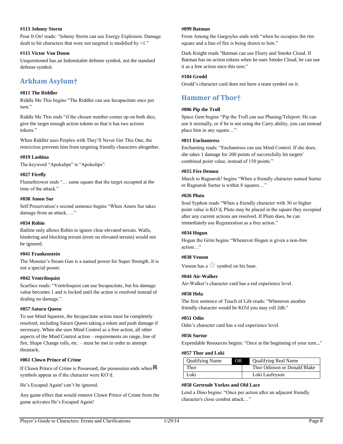# **#113 Johnny Storm**

Pour It On! reads: "Johnny Storm can use Energy Explosion. Damage dealt to hit characters that were not targeted is modified by +1."

#### **#115 Victor Von Doom**

Unquestioned has an Indomitable defense symbol, not the standard defense symbol.

# <span id="page-10-0"></span>**Arkham Asylum†**

# **#011 The Riddler**

Riddle Me This begins "The Riddler can use Incapacitate once per turn."

Riddle Me This ends "if the chosen number comes up on both dice, give the target enough action tokens so that it has two actions tokens."

When Riddler uses Perplex with They'll Never Get This One, the restriction prevents him from targeting friendly characters altogether.

# **#019 Lashina**

The keyword "Apokalips" is "Apokolips".

# **#027 Firefly**

Flamethrower ends "… same square that the target occupied at the time of the attack."

# **#030 Amon Sur**

Self Preservation's second sentence begins "When Amon Sur takes damage from an attack, …"

# **#034 Robin**

Batline only allows Robin to ignore clear elevated terrain. Walls, hindering and blocking terrain (even on elevated terrain) would not be ignored.

# **#041 Frankenstein**

The Monster's Steam Gun is a named power for Super Strength. It is not a special power.

# **#042 Ventriloquist**

Scarface reads: "Ventriloquist can use Incapacitate, but his damage value becomes 1 and is locked until the action is resolved instead of dealing no damage.".

# **#057 Saturn Queen**

To use Mind Squeeze, the Incapacitate action must be completely resolved, including Saturn Queen taking a token and push damage if necessary. When she uses Mind Control as a free action, all other aspects of the Mind Control action – requirements on range, line of fire, Shape Change rolls, etc. – must be met in order to attempt theattack.

# **#061 Clown Prince of Crime**

If Clown Prince of Crime is Possessed, the possession ends when symbols appear as if the character were KO'd.

He's Escaped Again! can't be ignored.

Any game effect that would remove Clown Prince of Crime from the game activates He's Escaped Again!

#### **#099 Batman**

From Among the Gargoyles ends with "when he occupies the rim square and a line of fire is being drawn to him."

Dark Knight reads "Batman can use Flurry and Smoke Cloud. If Batman has no action tokens when he uses Smoke Cloud, he can use it as a free action once this turn."

# **#104 Grodd**

Grodd's character card does not have a team symbol on it.

# <span id="page-10-1"></span>**Hammer of Thor†**

# **#006 Pip the Troll**

Space Gem begins "Pip the Troll can use Phasing/Teleport. He can use it normally, or if he is not using the Carry ability, you can instead place him in any square…"

# **#011 Enchantress**

Enchanting reads: "Enchantress can use Mind Control. If she does, she takes 1 damage for 200 points of successfully hit targets' combined point value, instead of 150 points."

# **#015 Fire Demon**

March to Ragnarok! begins "When a friendly character named Surtur or Ragnarok Surtur is within 8 squares…"

# **#026 Pluto**

Soul Syphon reads "When a friendly character with 30 or higher point value is KO'd, Pluto may be placed in the square they occupied after any current actions are resolved. If Pluto does, he can immediately use Regeneration as a free action."

# **#034 Hogun**

Hogun the Grim begins "Whenever Hogun is given a non-free action…"

# **#038 Venom**

Venom has a  $\overrightarrow{K}$  symbol on his base.

# **#044 Air-Walker**

Air-Walker's character card has a red experience level.

# **#050 Hela**

The first sentence of Touch of Life reads: "Whenever another friendly character would be KO'd you may roll 2d6."

# **#051 Odin**

Odin's character card has a red experience level.

# **#056 Surtur**

Expendable Resources begins: "Once at the beginning of your turn..."

#### **#057 Thor and Loki**

| <b>Qualifying Name</b> | OR. | <b>Qualifying Real Name</b>  |
|------------------------|-----|------------------------------|
| Thor                   |     | Thor Odinson or Donald Blake |
| '.oki                  |     | Loki Laufeyson               |

# **#058 Gertrude Yorkes and Old Lace**

Lend a Dino begins: "Once per action after an adjacent friendly character's close combat attack…"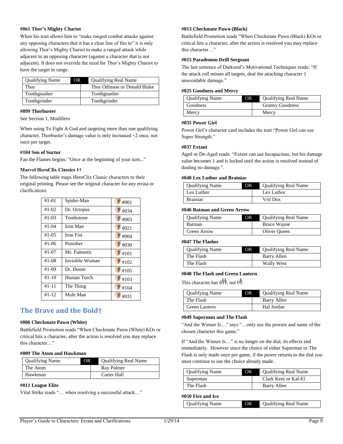# **#061 Thor's Mighty Chariot**

When his trait allows him to "make ranged combat attacks against any opposing characters that it has a clear line of fire to" it is only allowing Thor's Mighty Chariot to make a ranged attack while adjacent to an opposing character (against a character that is not adjacent). It does not override the need for Thor's Mighty Chariot to have the target in range.

| <b>Qualifying Name</b> | OR. | <b>Qualifying Real Name</b>  |
|------------------------|-----|------------------------------|
| Thor                   |     | Thor Odinson or Donald Blake |
| Toothgnasher           |     | Toothgnasher                 |
| Toothgrinder           |     | Toothgrinder                 |

#### **#099 Thorbuster**

See Section 1, Modifiers

When using To Fight A God and targeting more than one qualifying character, Thorbuster's damage value is only increased +2 once, not once per target.

#### **#104 Son of Surtur**

Fan the Flames begins: "Once at the beginning of your turn..."

# **Marvel HeroClix Classics 1†**

The following table maps HeroClix Classic characters to their original printing. Please see the original character for any errata or clarifications

| $#1 - 01$  | Spider-Man       | #001 |
|------------|------------------|------|
| $#1 - 02$  | Dr. Octopus      | #034 |
| $#1 - 0.3$ | Tombstone        | #003 |
| $#1 - 04$  | Iron Man         | #021 |
| $#1 - 0.5$ | <b>Iron Fist</b> | #004 |
| #1-06      | Punisher         | #030 |
| $#1 - 07$  | Mr. Fantastic    | #101 |
| $#1-08$    | Invisible Woman  | #102 |
| #1-09      | Dr. Doom         | #105 |
| $#1 - 10$  | Human Torch      | #103 |
| $#1 - 11$  | The Thing        | #104 |
| #1-12      | Mole Man         | #031 |

# <span id="page-11-0"></span>**The Brave and the Bold†**

#### **#006 Checkmate Pawn (White)**

Battlefield Promotion reads "When Checkmate Pawn (White) KOs or critical hits a character, after the action is resolved you may replace this character…"

#### **#009 The Atom and Hawkman**

| <b>Qualifying Name</b> | ЭR | <b>Qualifying Real Name</b> |
|------------------------|----|-----------------------------|
| The Atom               |    | Ray Palmer                  |
| Hawkman                |    | Carter Hall                 |

# **#011 League Elite**

Vital Strike reads "… when resolving a successful attack…"

# **#013 Checkmate Pawn (Black)**

Battlefield Promotion reads "When Checkmate Pawn (Black) KOs or critical hits a character, after the action is resolved you may replace this character…"

# **#015 Parademon Drill Sergeant**

The last sentence of Darkseid's Motivational Techniques reads: "If the attack roll misses all targets, deal the attacking character 1 unavoidable damage."

#### **#025 Goodness and Mercy**

| <b>Qualifying Name</b> | OR. | <b>Qualifying Real Name</b> |
|------------------------|-----|-----------------------------|
| Goodness               |     | <b>Granny Goodness</b>      |
| Mercy                  |     | Mercy                       |

# **#035 Power Girl**

Power Girl's character card includes the trait "Power Girl can use Super Strength."

#### **#037 Extant**

Aged or De-Aged reads: "Extant can use Incapacitate, but his damage value becomes 1 and is locked until the action is resolved instead of dealing no damage.".

# **#040 Lex Luthor and Brainiac**

| <b>Qualifying Name</b> | DR. | <b>Qualifying Real Name</b> |
|------------------------|-----|-----------------------------|
| Lex Luthor             |     | Lex Luthor                  |
| <b>Brainiac</b>        |     | Vril Dox                    |

#### **#046 Batman and Green Arrow**

| <b>Qualifying Name</b> | OR | <b>Qualifying Real Name</b> |
|------------------------|----|-----------------------------|
| <b>Batman</b>          |    | Bruce Wayne                 |
| Green Arrow            |    | Oliver Oueen                |

#### **#047 The Flashes**

| <b>Qualifying Name</b> | OR | <b>Qualifying Real Name</b> |
|------------------------|----|-----------------------------|
| The Flash              |    | Barry Allen                 |
| The Flash              |    | Wally West                  |

#### **#048 The Flash and Green Lantern**

This character has  $8\frac{1}{2}$ , not 0.

| <b>Qualifying Name</b> | OR | <b>Qualifying Real Name</b> |
|------------------------|----|-----------------------------|
| The Flash              |    | Barry Allen                 |
| Green Lantern          |    | Hal Jordan                  |

#### **#049 Superman and The Flash**

"And the Winner Is…" says "…only use the powers and name of the chosen character this game."

If "And the Winner Is…" is no longer on the dial, its effects end immediately. However since the choice of either Superman or The Flash is only made once per game, if the power returns to the dial you must continue to use the choice already made.

| <b>Qualifying Name</b> | OR | <b>Qualifying Real Name</b> |
|------------------------|----|-----------------------------|
| Superman               |    | Clark Kent or Kal-El        |
| The Flash              |    | Barry Allen                 |

#### **#050 Fire and Ice**

| <b>Qualifying Name</b> | <b>OR</b> | Qualifying Real Name |
|------------------------|-----------|----------------------|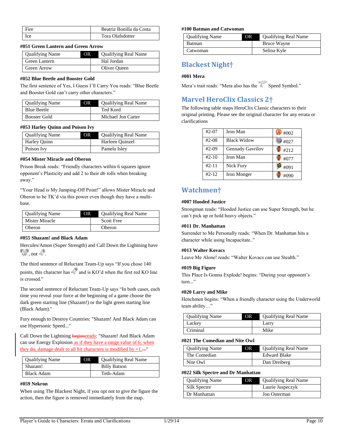| Fire | Beatriz Bonilla da Costa |
|------|--------------------------|
| Ice  | Tora Olafsdotter         |

#### **#051 Green Lantern and Green Arrow**

| <b>Qualifying Name</b> | OR. | <b>Qualifying Real Name</b> |
|------------------------|-----|-----------------------------|
| Green Lantern          |     | Hal Jordan                  |
| Green Arrow            |     | Oliver Queen                |

#### **#052 Blue Beetle and Booster Gold**

The first sentence of Yes, I Guess I'll Carry You reads: "Blue Beetle and Booster Gold can't carry other characters."

| <b>Qualifying Name</b> | OR. | <b>Qualifying Real Name</b> |
|------------------------|-----|-----------------------------|
| <b>Blue Beetle</b>     |     | Ted Kord                    |
| Booster Gold           |     | Michael Jon Carter          |

#### **#053 Harley Quinn and Poison Ivy**

| <b>Qualifying Name</b> | OR. | <b>Qualifying Real Name</b> |
|------------------------|-----|-----------------------------|
| Harley Quinn           |     | Harleen Quinzel             |
| Poison Ivy             |     | Pamela Isley                |

# **#054 Mister Miracle and Oberon**

Prison Break reads: "Friendly characters within 6 squares ignore opponent's Plasticity and add 2 to their d6 rolls when breaking away."

"Your Head is My Jumping-Off Point!" allows Mister Miracle and Oberon to be TK'd via this power even though they have a multibase.

| <b>Qualifying Name</b> | OR | <b>Qualifying Real Name</b> |
|------------------------|----|-----------------------------|
| Mister Miracle         |    | <b>Scott Free</b>           |
| Oberon                 |    | Oberon                      |

#### **#055 Shazam! and Black Adam**

Hercules/Amon (Super Strength) and Call Down the Lightning have  $\mathbb{R}^9$ , not  $\mathbb{R}^9$ .

The third sentence of Reluctant Team-Up says "If you chose 140 points, this character has and is KO'd when the first red KO line is crossed."

The second sentence of Reluctant Team-Up says "In both cases, each time you reveal your force at the beginning of a game choose the dark green starting line (Shazam!) or the light green starting line (Black Adam)."

Fury enough to Destroy Countries: "Shazam! And Black Adam can use Hypersonic Speed..."

Call Down the Lightning **beginsreads**: "Shazam! And Black Adam can use Energy Explosion as if they have a range value of 6; when they do, damage dealt to all hit characters is modified by  $+1$ ...."

| <b>Qualifying Name</b> | OR | <b>Qualifying Real Name</b> |
|------------------------|----|-----------------------------|
| Shazam!                |    | <b>Billy Batson</b>         |
| Black Adam             |    | Teth-Adam                   |

#### **#059 Nekron**

When using The Blackest Night, if you opt not to give the figure the action, then the figure is removed immediately from the map.

#### **#100 Batman and Catwoman**

| <b>Qualifying Name</b> | OR | <b>Qualifying Real Name</b> |
|------------------------|----|-----------------------------|
| <b>Batman</b>          |    | Bruce Wayne                 |
| Catwoman               |    | Selina Kyle                 |

# <span id="page-12-0"></span>**Blackest Night†**

#### **#001 Mera**

Mera's trait reads: "Mera also has the Speed Symbol."

# <span id="page-12-1"></span>**Marvel HeroClix Classics 2†**

The following table maps HeroClix Classic characters to their original printing. Please see the original character for any errata or clarifications

| $#2-07$   | Iron Man                | $\#002$ |
|-----------|-------------------------|---------|
| $#2-08$   | <b>Black Widow</b>      | #027    |
| $#2-09$   | <b>Gennady Gavrilov</b> | #212    |
| $#2 - 10$ | Iron Man                | #077    |
| $#2 - 11$ | Nick Fury               | #091    |
| $#2 - 12$ | Iron Monger             | #090    |

# <span id="page-12-2"></span>**Watchmen†**

# **#007 Hooded Justice**

Strongman reads: "Hooded Justice can use Super Strength, but he can't pick up or hold heavy objects."

# **#011 Dr. Manhattan**

Surrender to Me Personally reads: "When Dr. Manhattan hits a character while using Incapacitate.."

# **#013 Walter Kovacs**

Leave Me Alone! reads: "Walter Kovacs can use Stealth."

# **#019 Big Figure**

This Place Is Gonna Explode! begins: "During your opponent's turn..."

#### **#020 Larry and Mike**

Henchmen begins: "When a friendly character using the Underworld team ability…"

| <b>Qualifying Name</b> | OR. | <b>Qualifying Real Name</b> |
|------------------------|-----|-----------------------------|
| Lackey                 |     | Larry                       |
| Criminal               |     | Mike                        |

#### **#021 The Comedian and Nite Owl**

| <b>Qualifying Name</b> | OR | <b>Qualifying Real Name</b> |
|------------------------|----|-----------------------------|
| The Comedian           |    | <b>Edward Blake</b>         |
| Nite Owl               |    | Dan Dreiberg                |

#### **#022 Silk Spectre and Dr Manhattan**

| <b>Qualifying Name</b> | OR | <b>Qualifying Real Name</b> |
|------------------------|----|-----------------------------|
| Silk Spectre           |    | Laurie Juspeczyk            |
| Dr Manhattan           |    | Jon Osterman                |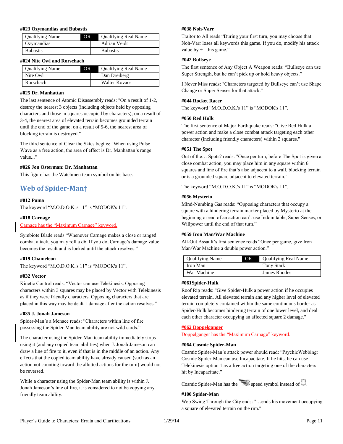#### **#023 Ozymandias and Bubastis**

| <b>Qualifying Name</b> | <b>Qualifying Real Name</b><br>ЭR |
|------------------------|-----------------------------------|
| Ozymandias             | Adrian Veidt                      |
| <b>Bubastis</b>        | <b>Bubastis</b>                   |

#### **#024 Nite Owl and Rorschach**

| <b>Qualifying Name</b> | <b>OR</b> | <b>Qualifying Real Name</b> |
|------------------------|-----------|-----------------------------|
| Nite Owl               |           | Dan Dreiberg                |
| Rorschach              |           | Walter Kovacs               |

# **#025 Dr. Manhattan**

The last sentence of Atomic Disassembly reads: "On a result of 1-2, destroy the nearest 3 objects (including objects held by opposing characters and those in squares occupied by characters); on a result of 3-4, the nearest area of elevated terrain becomes grounded terrain until the end of the game; on a result of 5-6, the nearest area of blocking terrain is destroyed."

The third sentence of Clear the Skies begins: "When using Pulse Wave as a free action, the area of effect is Dr. Manhattan's range value..."

#### **#026 Jon Osterman: Dr. Manhattan**

This figure has the Watchmen team symbol on his base.

# <span id="page-13-0"></span>**Web of Spider-Man†**

# **#012 Puma**

The keyword "M.O.D.O.K.'s 11" is "MODOK's 11".

#### **#018 Carnage**

Carnage has the "Maximum Carnage" keyword.

Symbiote Blade reads "Whenever Carnage makes a close or ranged combat attack, you may roll a d6. If you do, Carnage's damage value becomes the result and is locked until the attack resolves."

# **#019 Chameleon**

The keyword "M.O.D.O.K.'s 11" is "MODOK's 11".

# **#032 Vector**

Kinetic Control reads: "Vector can use Telekinesis. Opposing characters within 3 squares may be placed by Vector with Telekinesis as if they were friendly characters. Opposing characters that are placed in this way may be dealt 1 damage after the action resolves."

# **#035 J. Jonah Jameson**

Spider-Man's a Menace reads: "Characters within line of fire possessing the Spider-Man team ability are not wild cards."

The character using the Spider-Man team ability immediately stops using it (and any copied team abilities) when J. Jonah Jameson can draw a line of fire to it, even if that is in the middle of an action. Any effects that the copied team ability have already caused (such as an action not counting toward the allotted actions for the turn) would not be reversed.

While a character using the Spider-Man team ability is within J. Jonah Jameson's line of fire, it is considered to not be copying any friendly team ability.

# **#038 Noh-Varr**

Traitor to All reads "During your first turn, you may choose that Noh-Varr loses all keywords this game. If you do, modify his attack value by  $+1$  this game."

#### **#042 Bullseye**

The first sentence of Any Object A Weapon reads: "Bullseye can use Super Strength, but he can't pick up or hold heavy objects."

I Never Miss reads: "Characters targeted by Bullseye can't use Shape Change or Super Senses for that attack."

#### **#044 Rocket Racer**

The keyword "M.O.D.O.K.'s 11" is "MODOK's 11".

#### **#050 Red Hulk**

The first sentence of Major Earthquake reads: "Give Red Hulk a power action and make a close combat attack targeting each other character (including friendly characters) within 3 squares."

#### **#051 The Spot**

Out of the… Spots? reads: "Once per turn, before The Spot is given a close combat action, you may place him in any square within 6 squares and line of fire that's also adjacent to a wall, blocking terrain or is a grounded square adjacent to elevated terrain."

The keyword "M.O.D.O.K.'s 11" is "MODOK's 11".

#### **#056 Mysterio**

Mind-Numbing Gas reads: "Opposing characters that occupy a square with a hindering terrain marker placed by Mysterio at the beginning or end of an action can't use Indomitable, Super Senses, or Willpower until the end of that turn."

#### **#059 Iron Man/War Machine**

All-Out Assault's first sentence reads "Once per game, give Iron Man/War Machine a double power action."

| <b>Qualifying Name</b> | OR | <b>Qualifying Real Name</b> |
|------------------------|----|-----------------------------|
| Iron Man               |    | <b>Tony Stark</b>           |
| War Machine            |    | James Rhodes                |

#### **#061Spider-Hulk**

Roof Rip reads: "Give Spider-Hulk a power action if he occupies elevated terrain. All elevated terrain and any higher level of elevated terrain completely contained within the same continuous border as Spider-Hulk becomes hindering terrain of one lower level, and deal each other character occupying an affected square 2 damage."

# **#062 Doppelganger**

Doppelganger has the "Maximum Carnage" keyword.

# **#064 Cosmic Spider-Man**

Cosmic Spider-Man's attack power should read: "PsychicWebbing: Cosmic Spider-Man can use Incapacitate. If he hits, he can use Telekinesis option 1 as a free action targeting one of the characters hit by Incapacitate."

Cosmic Spider-Man has the speed symbol instead of  $\Box$ .

# **#100 Spider-Man**

Web Swing Through the City ends: "…ends his movement occupying a square of elevated terrain on the rim."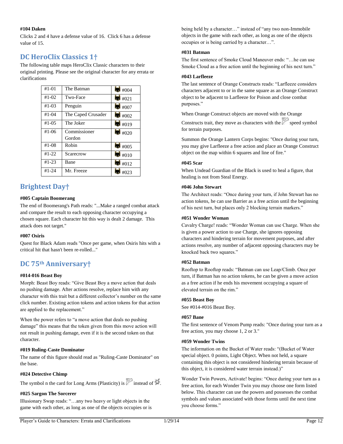# **#104 Daken**

Clicks 2 and 4 have a defense value of 16. Click 6 has a defense value of 15.

# <span id="page-14-0"></span>**DC HeroClix Classics 1†**

The following table maps HeroClix Classic characters to their original printing. Please see the original character for any errata or clarifications

| $#1 - 01$  | The Batman         | #004   |
|------------|--------------------|--------|
| $#1-02$    | Two-Face           | #021   |
| $#1 - 0.3$ | Penguin            | #007   |
| $#1 - 04$  | The Caped Crusader | #002   |
| $#1-05$    | The Joker          | #019   |
| $#1-06$    | Commissioner       | $+020$ |
|            | Gordon             |        |
| $#1-08$    | Robin              | #005   |
| $#1 - 22$  | Scarecrow          | #010   |
| $#1 - 23$  | Bane               | #012   |
| $#1 - 24$  | Mr. Freeze         | #023   |

# <span id="page-14-1"></span>**Brightest Day†**

# **#005 Captain Boomerang**

The end of Boomerang's Path reads: "...Make a ranged combat attack and compare the result to each opposing character occupying a chosen square. Each character hit this way is dealt 2 damage. This attack does not target."

# **#007 Osiris**

Quest for Black Adam reads "Once per game, when Osiris hits with a critical hit that hasn't been re-rolled..."

# <span id="page-14-2"></span>**DC 75th Anniversary†**

# **#014-016 Beast Boy**

Morph: Beast Boy reads: "Give Beast Boy a move action that deals no pushing damage. After actions resolve, replace him with any character with this trait but a different collector's number on the same click number. Existing action tokens and action tokens for that action are applied to the replacement."

When the power refers to "a move action that deals no pushing damage" this means that the token given from this move action will not result in pushing damage, even if it is the second token on that character.

# **#019 Ruling-Caste Dominator**

The name of this figure should read as "Ruling-Caste Dominator" on the base.

# **#024 Detective Chimp**

The symbol n the card for Long Arms (Plasticity) is  $\mathbb{Z}$  instead of  $\mathbb{Z}$ 

# **#025 Sargon The Sorcerer**

Illusionary Swap reads: "…any two heavy or light objects in the game with each other, as long as one of the objects occupies or is being held by a character…" instead of "any two non-Immobile objects in the game with each other, as long as one of the objects occupies or is being carried by a character…".

# **#031 Batman**

The first sentence of Smoke Cloud Maneuver ends: "…he can use Smoke Cloud as a free action until the beginning of his next turn."

# **#043 Larfleeze**

The last sentence of Orange Constructs reads: "Larfleeze considers characters adjacent to or in the same square as an Orange Construct object to be adjacent to Larfleeze for Poison and close combat purposes."

When Orange Construct objects are moved with the Orange

Constructs trait, they move as characters with the  $\sim$  speed symbol for terrain purposes.

Summon the Orange Lantern Corps begins: "Once during your turn, you may give Larfleeze a free action and place an Orange Construct object on the map within 6 squares and line of fire."

# **#045 Scar**

When Undead Guardian of the Black is used to heal a figure, that healing is not from Steal Energy.

# **#046 John Stewart**

The Architect reads: "Once during your turn, if John Stewart has no action tokens, he can use Barrier as a free action until the beginning of his next turn, but places only 2 blocking terrain markers."

# **#051 Wonder Woman**

Cavalry Charge! reads: "Wonder Woman can use Charge. When she is given a power action to use Charge, she ignores opposing characters and hindering terrain for movement purposes, and after actions resolve, any number of adjacent opposing characters may be knocked back two squares."

# **#052 Batman**

Rooftop to Rooftop reads: "Batman can use Leap/Climb. Once per turn, if Batman has no action tokens, he can be given a move action as a free action if he ends his movement occupying a square of elevated terrain on the rim."

# **#055 Beast Boy**

See #014-#016 Beast Boy.

# **#057 Bane**

The first sentence of Venom Pump reads: "Once during your turn as a free action, you may choose 1, 2 or 3."

# **#059 Wonder Twins**

The information on the Bucket of Water reads: "(Bucket of Water special object. 0 points, Light Object. When not held, a square containing this object is not considered hindering terrain because of this object, it is considered water terrain instead.)"

Wonder Twin Powers, Activate! begins: "Once during your turn as a free action, for each Wonder Twin you may choose one form listed below. This character can use the powers and possesses the combat symbols and values associated with those forms until the next time you choose forms."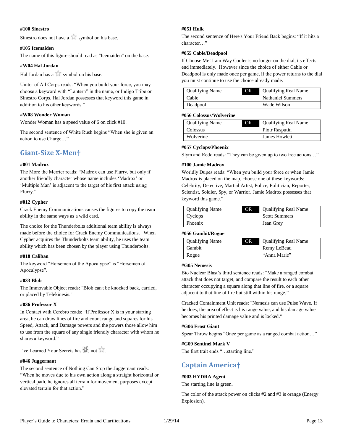#### **#100 Sinestro**

Sinestro does not have a  $\mathbb{R}^n$  symbol on his base.

# **#105 Icemaiden**

The name of this figure should read as "Icemaiden" on the base.

# **#W04 Hal Jordan**

Hal Jordan has a  $\mathbb{\hat{H}}$  symbol on his base.

Uniter of All Corps reads: "When you build your force, you may choose a keyword with "Lantern" in the name, or Indigo Tribe or Sinestro Corps. Hal Jordan possesses that keyword this game in addition to his other keywords."

# **#W08 Wonder Woman**

Wonder Woman has a speed value of 6 on click #10.

The second sentence of White Rush begins "When she is given an action to use Charge…"

# <span id="page-15-0"></span>**Giant-Size X-Men†**

#### **#001 Madrox**

The More the Merrier reads: "Madrox can use Flurry, but only if another friendly character whose name includes 'Madrox' or 'Multiple Man' is adjacent to the target of his first attack using Flurry."

#### **#012 Cypher**

Crack Enemy Communications causes the figures to copy the team ability in the same ways as a wild card.

The choice for the Thunderbolts additional team ability is always made before the choice for Crack Enemy Communications. When Cypher acquires the Thunderbolts team ability, he uses the team ability which has been chosen by the player using Thunderbolts.

#### **#018 Caliban**

The keyword "Horsemen of the Apocalypse" is "Horsemen of Apocalypse".

#### **#033 Blob**

The Immovable Object reads: "Blob can't be knocked back, carried, or placed by Telekinesis."

# **#036 Professor X**

In Contact with Cerebro reads: "If Professor X is in your starting area, he can draw lines of fire and count range and squares for his Speed, Attack, and Damage powers and the powers those allow him to use from the square of any single friendly character with whom he shares a keyword."

I've Learned Your Secrets has  $\mathbb{H}$ , not  $\mathbb{A}$ .

# **#046 Juggernaut**

The second sentence of Nothing Can Stop the Juggernaut reads: "When he moves due to his own action along a straight horizontal or vertical path, he ignores all terrain for movement purposes except elevated terrain for that action."

#### **#051 Hulk**

The second sentence of Here's Your Friend Back begins: "If it hits a character…"

#### **#055 Cable/Deadpool**

If Choose Me! I am Way Cooler is no longer on the dial, its effects end immediately. However since the choice of either Cable or Deadpool is only made once per game, if the power returns to the dial you must continue to use the choice already made.

| <b>Qualifying Name</b> | OR. | <b>Qualifying Real Name</b> |
|------------------------|-----|-----------------------------|
| Cable                  |     | <b>Nathaniel Summers</b>    |
| Deadpool               |     | Wade Wilson                 |

#### **#056 Colossus/Wolverine**

| <b>Qualifying Name</b> | ЭR | <b>Qualifying Real Name</b> |
|------------------------|----|-----------------------------|
| Colossus               |    | Piotr Rasputin              |
| Wolverine              |    | James Howlett               |

# **#057 Cyclops/Phoenix**

Slym and Redd reads: "They can be given up to two free actions…"

#### **#100 Jamie Madrox**

Worldly Dupes reads: "When you build your force or when Jamie Madrox is placed on the map, choose one of these keywords: Celebrity, Detective, Martial Artist, Police, Politician, Reporter, Scientist, Soldier, Spy, or Warrior. Jamie Madrox possesses that keyword this game."

| <b>Qualifying Name</b> | DR | <b>Qualifying Real Name</b> |
|------------------------|----|-----------------------------|
| Cyclops                |    | <b>Scott Summers</b>        |
| Phoenix                |    | Jean Grey                   |

#### **#056 Gambit/Rogue**

| <b>Qualifying Name</b> | ЭR | <b>Qualifying Real Name</b> |
|------------------------|----|-----------------------------|
| Gambit                 |    | Remy LeBeau                 |
| Rogue                  |    | "Anna Marie"                |

#### **#G05 Nemesis**

Bio Nuclear Blast's third sentence reads: "Make a ranged combat attack that does not target, and compare the result to each other character occupying a square along that line of fire, or a square adjacent to that line of fire but still within his range."

Cracked Containment Unit reads: "Nemesis can use Pulse Wave. If he does, the area of effect is his range value, and his damage value becomes his printed damage value and is locked."

#### **#G06 Frost Giant**

Spear Throw begins "Once per game as a ranged combat action…"

#### **#G09 Sentinel Mark V**

The first trait ends "…starting line."

# <span id="page-15-1"></span>**Captain America†**

#### **#003 HYDRA Agent**

The starting line is green.

The color of the attack power on clicks #2 and #3 is orange (Energy Explosion).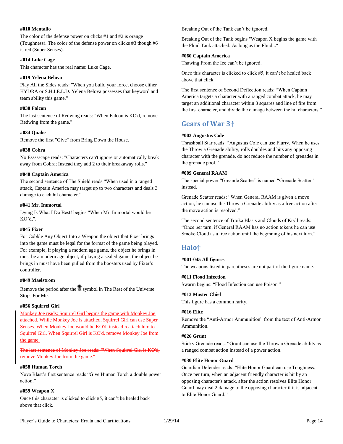# **#010 Mentallo**

The color of the defense power on clicks #1 and #2 is orange (Toughness). The color of the defense power on clicks #3 though #6 is red (Super Senses).

# **#014 Luke Cage**

This character has the real name: Luke Cage.

# **#019 Yelena Belova**

Play All the Sides reads: "When you build your force, choose either HYDRA or S.H.I.E.L.D. Yelena Belova possesses that keyword and team ability this game."

# **#030 Falcon**

The last sentence of Redwing reads: "When Falcon is KO'd, remove Redwing from the game."

# **#034 Quake**

Remove the first "Give" from Bring Down the House.

# **#038 Cobra**

No Essssscape reads: "Characters can't ignore or automatically break away from Cobra; Instead they add 2 to their breakaway rolls."

# **#040 Captain America**

The second sentence of The Shield reads "When used in a ranged attack, Captain America may target up to two characters and deals 3 damage to each hit character."

# **#041 Mr. Immortal**

Dying Is What I Do Best! begins "When Mr. Immortal would be KO'd,".

# **#045 Fixer**

For Cobble Any Object Into a Weapon the object that Fixer brings into the game must be legal for the format of the game being played. For example, if playing a modern age game, the object he brings in must be a modern age object; if playing a sealed game, the object he brings in must have been pulled from the boosters used by Fixer's controller.

# **#049 Maelstrom**

Remove the period after the  $\mathbb{R}$  symbol in The Rest of the Universe Stops For Me.

# **#056 Squirrel Girl**

Monkey Joe reads: Squirrel Girl begins the game with Monkey Joe attached. While Monkey Joe is attached, Squirrel Girl can use Super Senses. When Monkey Joe would be KO'd, instead reattach him to Squirrel Girl. When Squirrel Girl is KO'd, remove Monkey Joe from the game.

The last sentence of Monkey Joe reads: "When Squirrel Girl is KO'd, remove Monkey Joe from the game."

# **#058 Human Torch**

Nova Blast's first sentence reads "Give Human Torch a double power action"

# **#059 Weapon X**

Once this character is clicked to click #5, it can't be healed back above that click.

Breaking Out of the Tank can't be ignored.

Breaking Out of the Tank begins "Weapon X begins the game with the Fluid Tank attached. As long as the Fluid..."

# **#060 Captain America**

Thawing From the Ice can't be ignored.

Once this character is clicked to click #5, it can't be healed back above that click.

The first sentence of Second Deflection reads: "When Captain America targets a character with a ranged combat attack, he may target an additional character within 3 squares and line of fire from the first character, and divide the damage between the hit characters."

# <span id="page-16-0"></span>**Gears of War 3†**

# **#003 Augustus Cole**

Thrashball Star reads: "Augustus Cole can use Flurry. When he uses the Throw a Grenade ability, rolls doubles and hits any opposing character with the grenade, do not reduce the number of grenades in the grenade pool."

# **#009 General RAAM**

The special power "Greande Scatter" is named "Grenade Scatter" instead.

Grenade Scatter reads: "When General RAAM is given a move action, he can use the Throw a Grenade ability as a free action after the move action is resolved."

The second sentence of Troika Blasts and Clouds of Kryll reads: "Once per turn, if General RAAM has no action tokens he can use Smoke Cloud as a free action until the beginning of his next turn."

# <span id="page-16-1"></span>**Halo†**

# **#001-045 All figures**

The weapons listed in parentheses are not part of the figure name.

# **#011 Flood Infection**

Swarm begins: "Flood Infection can use Poison."

# **#013 Master Chief**

This figure has a common rarity.

# **#016 Elite**

Remove the "Anti-Armor Ammunition" from the text of Anti-Armor Ammunition.

# **#026 Grunt**

Sticky Grenade reads: "Grunt can use the Throw a Grenade ability as a ranged combat action instead of a power action.

# **#030 Elite Honor Guard**

Guardian Defender reads: "Elite Honor Guard can use Toughness. Once per turn, when an adjacent friendly character is hit by an opposing character's attack, after the action resolves Elite Honor Guard may deal 2 damage to the opposing character if it is adjacent to Elite Honor Guard."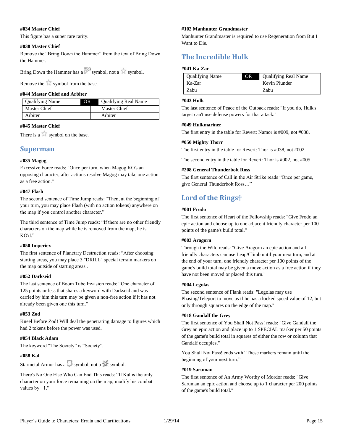# **#034 Master Chief**

This figure has a super rare rarity.

# **#038 Master Chief**

Remove the "Bring Down the Hammer" from the text of Bring Down the Hammer.

Bring Down the Hammer has a symbol, not a symbol.

Remove the symbol from the base.

# **#044 Master Chief and Arbiter**

| <b>Qualifying Name</b> | DR. | <b>Qualifying Real Name</b> |
|------------------------|-----|-----------------------------|
| Master Chief           |     | Master Chief                |
| Arbiter                |     | Arbiter                     |

# **#045 Master Chief**

There is a  $\sim$  symbol on the base.

# <span id="page-17-0"></span>**Superman**

# **#035 Magog**

Excessive Force reads: "Once per turn, when Magog KO's an opposing character, after actions resolve Magog may take one action as a free action."

# **#047 Flash**

The second sentence of Time Jump reads: "Then, at the beginning of your turn, you may place Flash (with no action tokens) anywhere on the map if you control another character."

The third sentence of Time Jump reads: "If there are no other friendly characters on the map while he is removed from the map, he is KO'd."

# **#050 Imperiex**

The first sentence of Planetary Destruction reads: "After choosing starting areas, you may place 3 "DRILL" special terrain markers on the map outside of starting areas..

# **#052 Darkseid**

The last sentence of Boom Tube Invasion reads: "One character of 125 points or less that shares a keyword with Darkseid and was carried by him this turn may be given a non-free action if it has not already been given one this turn."

# **#053 Zod**

Kneel Before Zod! Will deal the penetrating damage to figures which had 2 tokens before the power was used.

# **#054 Black Adam**

The keyword "The Society" is "Society".

# **#058 Kal**

Starmetal Armor has a symbol, not a symbol.

There's No One Else Who Can End This reads: "If Kal is the only character on your force remaining on the map, modify his combat values by  $+1$ ."

# **#102 Manhunter Grandmaster**

Manhunter Grandmaster is required to use Regeneration from But I Want to Die.

# <span id="page-17-1"></span>**The Incredible Hulk**

# **#041 Ka-Zar**

| <b>Qualifying Name</b> | OR. | <b>Qualifying Real Name</b> |
|------------------------|-----|-----------------------------|
| Ka-Zar                 |     | Kevin Plunder               |
| Zabu                   |     | Zabu                        |

#### **#043 Hulk**

The last sentence of Peace of the Outback reads: "If you do, Hulk's target can't use defense powers for that attack."

#### **#049 Hulkmariner**

The first entry in the table for Revert: Namor is #009, not #038.

# **#050 Mighty Thorr**

The first entry in the table for Revert: Thor is #038, not #002.

The second entry in the table for Revert: Thor is #002, not #005.

# **#208 General Thunderbolt Ross**

The first sentence of Call in the Air Strike reads "Once per game, give General Thunderbolt Ross…"

# <span id="page-17-2"></span>**Lord of the Rings†**

#### **#001 Frodo**

The first sentence of Heart of the Fellowship reads: "Give Frodo an epic action and choose up to one adjacent friendly character per 100 points of the game's build total."

# **#003 Aragorn**

Through the Wild reads: "Give Aragorn an epic action and all friendly characters can use Leap/Climb until your next turn, and at the end of your turn, one friendly character per 100 points of the game's build total may be given a move action as a free action if they have not been moved or placed this turn."

# **#004 Legolas**

The second sentence of Flank reads: "Legolas may use Phasing/Teleport to move as if he has a locked speed value of 12, but only through squares on the edge of the map."

# **#018 Gandalf the Grey**

The first sentence of You Shall Not Pass! reads: "Give Gandalf the Grey an epic action and place up to 1 SPECIAL marker per 50 points of the game's build total in squares of either the row or column that Gandalf occupies."

You Shall Not Pass! ends with "These markers remain until the beginning of your next turn."

# **#019 Saruman**

The first sentence of An Army Worthy of Mordor reads: "Give Saruman an epic action and choose up to 1 character per 200 points of the game's build total."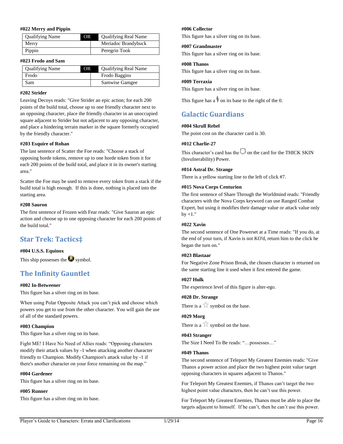#### **#022 Merry and Pippin**

| <b>Qualifying Name</b> | OR. | <b>Qualifying Real Name</b> |
|------------------------|-----|-----------------------------|
| Merry                  |     | Meriadoc Brandybuck         |
| Pippin                 |     | Peregrin Took               |

#### **#023 Frodo and Sam**

| <b>Qualifying Name</b> | OR. | <b>Qualifying Real Name</b> |
|------------------------|-----|-----------------------------|
| Frodo                  |     | Frodo Baggins               |
| Sam                    |     | Samwise Gamgee              |

# **#202 Strider**

Leaving Decoys reads: "Give Strider an epic action; for each 200 points of the build total, choose up to one friendly character next to an opposing character, place the friendly character in an unoccupied square adjacent to Strider but not adjacent to any opposing character, and place a hindering terrain marker in the square formerly occupied by the friendly character."

# **#203 Esquire of Rohan**

The last sentence of Scatter the Foe reads: "Choose a stack of opposing horde tokens, remove up to one horde token from it for each 200 points of the build total, and place it in its owner's starting area."

Scatter the Foe may be used to remove every token from a stack if the build total is high enough. If this is done, nothing is placed into the starting area.

# **#208 Sauron**

The first sentence of Frozen with Fear reads: "Give Sauron an epic action and choose up to one opposing character for each 200 points of the build total."

# <span id="page-18-0"></span>**Star Trek: Tactics‡**

# **#004 U.S.S. Equinox**

This ship possesses the symbol.

# <span id="page-18-1"></span>**The Infinity Gauntlet**

# **#002 In-Betweener**

This figure has a silver ring on its base.

When using Polar Opposite Attack you can't pick and choose which powers you get to use from the other character. You will gain the use of all of the standard powers.

# **#003 Champion**

This figure has a silver ring on its base.

Fight ME! I Have No Need of Allies reads: "Opposing characters modify their attack values by -1 when attacking another character friendly to Champion. Modify Champion's attack value by -1 if there's another character on your force remaining on the map."

# **#004 Gardener**

This figure has a silver ring on its base.

#### **#005 Runner**

This figure has a silver ring on its base.

# **#006 Collector**

This figure has a silver ring on its base.

# **#007 Grandmaster**

This figure has a silver ring on its base.

# **#008 Thanos**

This figure has a silver ring on its base.

#### **#009 Terraxia**

This figure has a silver ring on its base.

This figure has a  $\bullet$  on its base to the right of the 0.

# <span id="page-18-2"></span>**Galactic Guardians**

# **#004 Skrull Rebel**

The point cost on the character card is 30.

#### **#012 Charlie-27**

This character's card has the  $\Box$  on the card for the THICK SKIN (Invulnerability) Power.

#### **#014 Astral Dr. Strange**

There is a yellow starting line to the left of click #7.

#### **#015 Nova Corps Centurion**

The first sentence of Share Through the Worldmind reads: "Friendly characters with the Nova Corps keyword can use Ranged Combat Expert, but using it modifies their damage value or attack value only  $by +1.$ "

# **#022 Xavin**

The second sentence of One Powerset at a Time reads: "If you do, at the end of your turn, if Xavin is not KO'd, return him to the click he began the turn on."

#### **#023 Blastaar**

For Negative Zone Prison Break, the chosen character is returned on the same starting line it used when it first entered the game.

# **#027 Hulk**

The experience level of this figure is alter-ego.

#### **#028 Dr. Strange**

There is a  $\mathbb{R}$  symbol on the base.

# **#029 Morg**

There is a  $\overline{\phantom{a}}$  symbol on the base.

#### **#043 Stranger**

The Size I Need To Be reads: "…possesses…"

#### **#049 Thanos**

The second sentence of Teleport My Greatest Enemies reads: "Give Thanos a power action and place the two highest point value target opposing characters in squares adjacent to Thanos."

For Teleport My Greatest Enemies, if Thanos can't target the two highest point value characters, then he can't use this power.

For Teleport My Greatest Enemies, Thanos must be able to place the targets adjacent to himself. If he can't, then he can't use this power.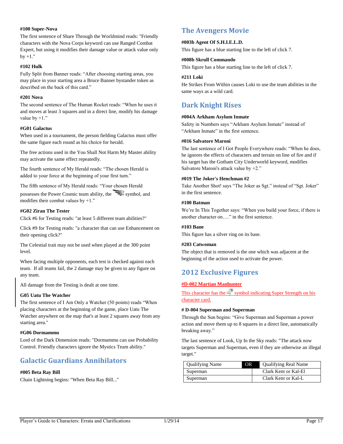# **#100 Super-Nova**

The first sentence of Share Through the Worldmind reads: "Friendly characters with the Nova Corps keyword can use Ranged Combat Expert, but using it modifies their damage value or attack value only by  $+1$ ."

#### **#102 Hulk**

Fully Split from Banner reads: "After choosing starting areas, you may place in your starting area a Bruce Banner bystander token as described on the back of this card."

#### **#201 Nova**

The second sentence of The Human Rocket reads: "When he uses it and moves at least 3 squares and in a direct line, modify his damage value by  $+1$ ."

# **#G01 Galactus**

When used in a tournament, the person fielding Galactus must offer the same figure each round as his choice for herald.

The free actions used in the You Shall Not Harm My Master ability may activate the same effect repeatedly.

The fourth sentence of My Herald reads: "The chosen Herald is added to your force at the beginning of your first turn."

The fifth sentence of My Herald reads: "Your chosen Herald

possesses the Power Cosmic team ability, the symbol, and modifies their combat values by +1."

#### **#G02 Ziran The Tester**

Click #6 for Testing reads: "at least 5 different team abilities?"

Click #9 for Testing reads: "a character that can use Enhancement on their opening click?"

The Celestial trait may not be used when played at the 300 point level.

When facing multiple opponents, each test is checked against each team. If all teams fail, the 2 damage may be given to any figure on any team.

All damage from the Testing is dealt at one time.

# **G05 Uatu The Watcher**

The first sentence of I Am Only a Watcher (50 points) reads "When placing characters at the beginning of the game, place Uatu The Watcher anywhere on the map that's at least 2 squares away from any starting area."

#### **#G06 Dormammu**

Lord of the Dark Dimension reads: "Dormammu can use Probability Control. Friendly characters ignore the Mystics Team ability."

# <span id="page-19-0"></span>**Galactic Guardians Annihilators**

# **#005 Beta Ray Bill**

Chain Lightning begins: "When Beta Ray Bill..."

# <span id="page-19-1"></span>**The Avengers Movie**

#### **#003b Agent Of S.H.I.E.L.D.**

This figure has a blue starting line to the left of click 7.

#### **#008b Skrull Commando**

This figure has a blue starting line to the left of click 7.

# **#211 Loki**

He Strikes From Within causes Loki to use the team abilities in the same ways as a wild card.

# <span id="page-19-2"></span>**Dark Knight Rises**

#### **#004A Arkham Asylum Inmate**

Safety in Numbers says "Arkham Asylum Inmate" instead of "Arkham Inmate" in the first sentence.

#### **#016 Salvatore Maroni**

The last sentence of I Got People Everywhere reads: "When he does, he ignores the effects of characters and terrain on line of fire and if his target has the Gotham City Underworld keyword, modifies Salvatore Maroni's attack value by +2."

#### **#019 The Joker's Henchman #2**

Take Another Shot! says "The Joker as Sgt." instead of "Sgt. Joker" in the first sentence.

# **#100 Batman**

We're In This Together says: "When you build your force, if there is another character on…." in the first sentence.

#### **#103 Bane**

This figure has a silver ring on its base.

#### **#203 Catwoman**

The object that is removed is the one which was adjacent at the beginning of the action used to activate the power.

# <span id="page-19-3"></span>**2012 Exclusive Figures**

# **#D-002 Martian Manhunter**

This character has the symbol indicating Super Strength on his character card.

#### **# D-004 Superman and Superman**

Through the Sun begins: "Give Superman and Superman a power action and move them up to 8 squares in a direct line, automatically breaking away."

The last sentence of Look, Up In the Sky reads: "The attack now targets Superman and Superman, even if they are otherwise an illegal target."

| <b>Qualifying Name</b> | OR. | <b>Qualifying Real Name</b> |
|------------------------|-----|-----------------------------|
| Superman               |     | Clark Kent or Kal-El        |
| Superman               |     | Clark Kent or Kal-L         |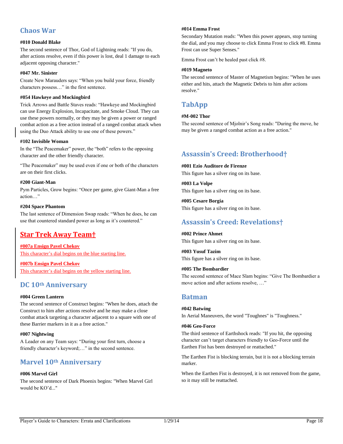# <span id="page-20-0"></span>**Chaos War**

# **#010 Donald Blake**

The second sentence of Thor, God of Lightning reads: "If you do, after actions resolve, even if this power is lost, deal 1 damage to each adjacent opposing character."

# **#047 Mr. Sinister**

Create New Marauders says: "When you build your force, friendly characters possess…" in the first sentence.

# **#054 Hawkeye and Mockingbird**

Trick Arrows and Battle Staves reads: "Hawkeye and Mockingbird can use Energy Explosion, Incapacitate, and Smoke Cloud. They can use these powers normally, or they may be given a power or ranged combat action as a free action instead of a ranged combat attack when using the Duo Attack ability to use one of these powers."

# **#102 Invisible Woman**

In the "The Peacemaker" power, the "both" refers to the opposing character and the other friendly character.

"The Peacemaker" may be used even if one or both of the characters are on their first clicks.

# **#200 Giant-Man**

Pym Particles, Grow begins: "Once per game, give Giant-Man a free action…"

# **#204 Space Phantom**

The last sentence of Dimension Swap reads: "When he does, he can use that countered standard power as long as it's countered."

# <span id="page-20-1"></span>**Star Trek Away Team†**

**#007a Ensign Pavel Chekov**

This character's dial begins on the blue starting line.

**#007b Ensign Pavel Chekov** This character's dial begins on the yellow starting line.

# <span id="page-20-2"></span>**DC 10th Anniversary**

# **#004 Green Lantern**

The second sentence of Construct begins: "When he does, attach the Construct to him after actions resolve and he may make a close combat attack targeting a character adjacent to a square with one of these Barrier markers in it as a free action."

# **#007 Nightwing**

A Leader on any Team says: "During your first turn, choose a friendly character's keyword;..." in the second sentence.

# <span id="page-20-3"></span>**Marvel 10th Anniversary**

# **#006 Marvel Girl**

The second sentence of Dark Phoenix begins: "When Marvel Girl would be KO'd..."

# **#014 Emma Frost**

Secondary Mutation reads: "When this power appears, stop turning the dial, and you may choose to click Emma Frost to click #8. Emma Frost can use Super Senses."

Emma Frost can't be healed past click #8.

# **#019 Magneto**

The second sentence of Master of Magnetism begins: "When he uses either and hits, attach the Magnetic Debris to him after actions resolve."

# <span id="page-20-4"></span>**TabApp**

# **#M-002 Thor**

The second sentence of Mjolnir's Song reads: "During the move, he may be given a ranged combat action as a free action."

# <span id="page-20-5"></span>**Assassin's Creed: Brotherhood†**

**#001 Ezio Auditore de Firenze**

This figure has a silver ring on its base.

**#003 La Volpe** This figure has a silver ring on its base.

**#005 Cesare Borgia** This figure has a silver ring on its base.

# <span id="page-20-6"></span>**Assassin's Creed: Revelations†**

**#002 Prince Ahmet** This figure has a silver ring on its base.

**#003 Yusuf Tazim** This figure has a silver ring on its base.

# **#005 The Bombardier**

The second sentence of Mace Slam begins: "Give The Bombardier a move action and after actions resolve, …"

# <span id="page-20-7"></span>**Batman**

# **#042 Batwing**

In Aerial Maneuvers, the word "Toughnes" is "Toughness."

# **#046 Geo-Force**

The third sentence of Earthshock reads: "If you hit, the opposing character can't target characters friendly to Geo-Force until the Earthen Fist has been destroyed or reattached."

The Earthen Fist is blocking terrain, but it is not a blocking terrain marker.

When the Earthen Fist is destroyed, it is not removed from the game, so it may still be reattached.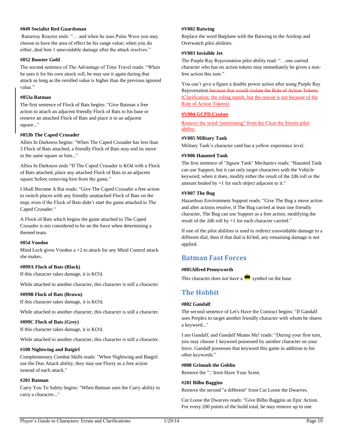# **#049 Socialist Red Guardsman**

Runaway Reactor ends: "… and when he uses Pulse Wave you may choose to have the area of effect be his range value; when you do either, deal him 1 unavoidable damage after the attack resolves."

#### **#052 Booster Gold**

The second sentence of The Advantage of Time Travel reads: "When he uses it for his own attack roll, he may use it again during that attack as long as the rerolled value is higher than the previous ignored value.'

#### **#053a Batman**

The first sentence of Flock of Bats begins: "Give Batman a free action to attach an adjacent friendly Flock of Bats to his base or remove an attached Flock of Bats and place it in an adjacent square..."

# **#053b The Caped Crusader**

Allies In Darkness begins: "When The Caped Crusader has less than 3 Flock of Bats attached, a friendly Flock of Bats may end its move in the same square as him..."

Allies In Darkness ends "If The Caped Crusader is KOd with a Flock of Bats attached, place any attached Flock of Bats in an adjacent square before removing him from the game."

I Shall Become A Bat reads: "Give The Caped Crusader a free action to switch places with any friendly unattached Flock of Bats on the map, even if the Flock of Bats didn't start the game attached to The Caped Crusader."

A Flock of Bats which begins the game attached to The Caped Crusader is not considered to be on the force when determining a themed team.

#### **#054 Voodoo**

Mind Lock gives Voodoo a +2 to attack for any Mind Control attack she makes.

# **#099A Flock of Bats (Black)**

If this character takes damage, it is KO'd.

While attached to another character, this character is still a character.

#### **#099B Flock of Bats (Brown)**

If this character takes damage, it is KO'd.

While attached to another character, this character is still a character.

# **#099C Flock of Bats (Grey)**

If this character takes damage, it is KO'd.

While attached to another character, this character is still a character.

# **#100 Nightwing and Batgirl**

Complementary Combat Skills reads: "When Nightwing and Batgirl use the Duo Attack ability, they may use Flurry as a free action instead of each attack."

# **#201 Batman**

Carry You To Safety begins: "When Batman uses the Carry ability to carry a character..."

#### **#V002 Batwing**

Replace the word Batplane with the Batwing in the Airdrop and Overwatch pilot abilities.

# **#V003 Invisible Jet**

The Purple Ray Rejuvenation pilot ability read: "…one carried character who has no action tokens may immediately be given a nonfree action this turn."

You can't give a figure a double power action after using Purple Ray Rejuvenation because that would violate the Rule of Action Tokens. (Clarification: the ruling stands, but the reason is not because of the Rule of Action Tokens)

# **#V004 GCPD Cruiser**

Remove the word "penetrating" from the Clear the Streets pilot ability.

# **#V005 Military Tank**

Military Tank's character card has a yellow experience level.

#### **#V006 Haunted Tank**

The first sentence of "Jigsaw Tank" Mechanics reads: "Haunted Tank can use Support, but it can only target characters with the Vehicle keyword; when it does, modify either the result of the 2d6 roll or the amount healed by +1 for each object adjacent to it."

# **#V007 The Bug**

Hazardous Environment Support reads: "Give The Bug a move action and after actions resolve, if The Bug carried at least one friendly character, The Bug can use Support as a free action, modifying the result of the 2d6 roll by +1 for each character carried."

If one of the pilot abilities is used to redirect unavoidable damage to a different dial, then if that dial is KOed, any remaining damage is not applied.

# <span id="page-21-0"></span>**Batman Fast Forces**

# **#005Alfred Pennyworth**

This character does not have a symbol on the base.

# <span id="page-21-1"></span>**The Hobbit**

# **#002 Gandalf**

The second sentence of Let's Have the Contract begins: "If Gandalf uses Perplex to target another friendly character with whom he shares a keyword..."

I am Gandalf, and Gandalf Means Me! reads: "During your first turn, you may choose 1 keyword possessed by another character on your force. Gandalf possesses that keyword this game in addition to his other keywords."

#### **#008 Grinnah the Goblin**

Remove the '",' from Have Your Scent.

#### **#201 Bilbo Baggins**

Remove the second "a different" from Cut Loose the Dwarves.

Cut Loose the Dwarves reads: "Give Bilbo Baggins an Epic Action. For every 200 points of the build total, he may remove up to one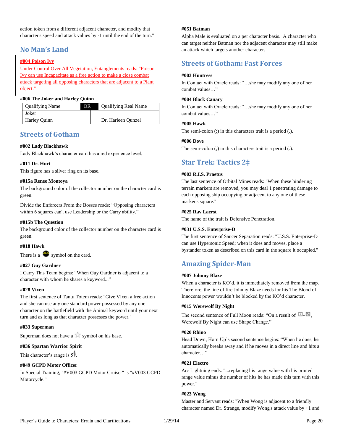action token from a different adjacent character, and modify that character's speed and attack values by -1 until the end of the turn."

# <span id="page-22-0"></span>**No Man's Land**

# **#004 Poison Ivy**

Under Control Over All Vegetation, Entanglements reads: "Poison Ivy can use Incapacitate as a free action to make a close combat attack targeting all opposing characters that are adjacent to a Plant object."

# **#006 The Joker and Harley Quinn**

| <b>Qualifying Name</b> | OR | <b>Qualifying Real Name</b> |
|------------------------|----|-----------------------------|
| Joker                  |    |                             |
| Harley Quinn           |    | Dr. Harleen Qunzel          |

# <span id="page-22-1"></span>**Streets of Gotham**

# **#002 Lady Blackhawk**

Lady Blackhawk's character card has a red experience level.

# **#011 Dr. Hurt**

This figure has a silver ring on its base.

# **#015a Renee Montoya**

The background color of the collector number on the character card is green.

Divide the Enforcers From the Bosses reads: "Opposing characters within 6 squares can't use Leadership or the Carry ability."

# **#015b The Question**

The background color of the collector number on the character card is green.

# **#018 Hawk**

There is a  $\bullet$  symbol on the card.

# **#027 Guy Gardner**

I Carry This Team begins: "When Guy Gardner is adjacent to a character with whom he shares a keyword..."

# **#028 Vixen**

The first sentence of Tantu Totem reads: "Give Vixen a free action and she can use any one standard power possessed by any one character on the battlefield with the Animal keyword until your next turn and as long as that character possesses the power."

# **#033 Superman**

Superman does not have a  $\mathbb{R}^n$  symbol on his base.

# **#036 Spartan Warrior Spirit**

This character's range is 5<sup>1</sup>.

# **#049 GCPD Motor Officer**

In Special Training, "#V003 GCPD Motor Cruiser" is "#V003 GCPD Motorcycle."

#### **#051 Batman**

Alpha Male is evaluated on a per character basis. A character who can target neither Batman nor the adjacent character may still make an attack which targets another character.

# <span id="page-22-2"></span>**Streets of Gotham: Fast Forces**

# **#003 Huntress**

In Contact with Oracle reads: "…she may modify any one of her combat values…"

# **#004 Black Canary**

In Contact with Oracle reads: "…she may modify any one of her combat values…"

# **#005 Hawk**

The semi-colon (;) in this characters trait is a period (.).

# **#006 Dove**

The semi-colon (;) in this characters trait is a period (.).

# <span id="page-22-3"></span>**Star Trek: Tactics 2‡**

# **#003 R.I.S. Praetus**

The last sentence of Orbital Mines reads: "When these hindering terrain markers are removed, you may deal 1 penetrating damage to each opposing ship occupying or adjacent to any one of these marker's square."

# **#025 Rav Laerst**

The name of the trait is Defensive Penetration.

# **#031 U.S.S. Enterprise-D**

The first sentence of Saucer Separation reads: "U.S.S. Enterprise-D can use Hypersonic Speed; when it does and moves, place a bystander token as described on this card in the square it occupied."

# <span id="page-22-4"></span>**Amazing Spider-Man**

# **#007 Johnny Blaze**

When a character is KO'd, it is immediately removed from the map. Therefore, the line of fire Johnny Blaze needs for his The Blood of Innocents power wouldn't be blocked by the KO'd character.

# **#015 Werewolf By Night**

The second sentence of Full Moon reads: "On a result of  $\Box$ . Werewolf By Night can use Shape Change."

# **#020 Rhino**

Head Down, Horn Up's second sentence begins: "When he does, he automatically breaks away and if he moves in a direct line and hits a character…"

# **#021 Electro**

Arc Lightning ends: "...replacing his range value with his printed range value minus the number of hits he has made this turn with this power."

# **#023 Wong**

Master and Servant reads: "When Wong is adjacent to a friendly character named Dr. Strange, modify Wong's attack value by +1 and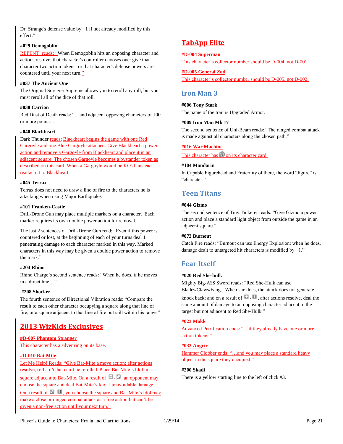Dr. Strange's defense value by  $+1$  if not already modified by this effect."

# **#029 Demogoblin**

REPENT! reads: "When Demogoblin hits an opposing character and actions resolve, that character's controller chooses one: give that character two action tokens; or that character's defense powers are countered until your next turn."

# **#037 The Ancient One**

The Original Sorcerer Supreme allows you to reroll any roll, but you must reroll all of the dice of that roll.

# **#038 Carrion**

Red Dust of Death reads: "…and adjacent opposing characters of 100 or more points…

# **#040 Blackheart**

Dark Thunder reads: Blackheart begins the game with one Red Gargoyle and one Blue Gargoyle attached. Give Blackheart a power action and remove a Gargoyle from Blackheart and place it in an adjacent square. The chosen Gargoyle becomes a bystander token as described on this card. When a Gargoyle would be KO'd, instead reattach it to Blackheart.

# **#045 Terrax**

Terrax does not need to draw a line of fire to the characters he is attacking when using Major Earthquake.

# **#101 Franken-Castle**

Drill-Drone Gun may place multiple markers on a character. Each marker requires its own double power action for removal.

The last 2 sentences of Drill-Drone Gun read: "Even if this power is countered or lost, at the beginning of each of your turns deal 1 penetrating damage to each character marked in this way. Marked characters in this way may be given a double power action to remove the mark."

# **#204 Rhino**

Rhino Charge's second sentence reads: "When he does, if he moves in a direct line…"

# **#208 Shocker**

The fourth sentence of Directional Vibration reads: "Compare the result to each other character occupying a square along that line of fire, or a square adjacent to that line of fire but still within his range."

# <span id="page-23-0"></span>**2013 WizKids Exclusives**

# **#D-007 Phantom Stranger**

This character has a silver ring on its base.

# **#D-010 Bat-Mite**

Let Me Help! Reads: "Give Bat-Mite a move action; after actions resolve, roll a d6 that can't be rerolled. Place Bat-Mite's Idol in a

square adjacent to Bat-Mite. On a result of  $\Box$ . an opponent may choose the square and deal Bat-Mite's Idol 1 unavoidable damage.

On a result of  $\Box$  -  $\Box$ , you choose the square and Bat-Mite's Idol may make a close or ranged combat attack as a free action but can't be given a non-free action until your next turn."

# <span id="page-23-1"></span>**TabApp Elite**

# **#D-004 Superman**

This character's collector number should be D-004, not D-001.

# **#D-005 General Zod**

This character's collector number should be D-005, not D-002.

# <span id="page-23-2"></span>**Iron Man 3**

# **#006 Tony Stark**

The name of the trait is Upgraded Armor.

# **#009 Iron Man Mk 17**

The second sentence of Uni-Beam reads: "The ranged combat attack is made against all characters along the chosen path."

# **#016 War Machine**

This character has  $\Box$  on its character card.

# **#104 Mandarin**

In Capable Figurehead and Fraternity of there, the word "figure" is "character."

# <span id="page-23-3"></span>**Teen Titans**

# **#044 Gizmo**

The second sentence of Tiny Tinkerer reads: "Give Gizmo a power action and place a standard light object from outside the game in an adjacent square."

# **#072 Burnout**

Catch Fire reads: "Burnout can use Energy Explosion; when he does, damage dealt to untargeted hit characters is modified by +1."

# <span id="page-23-4"></span>**Fear Itself**

# **#020 Red She-hulk**

Mighty Big-A\$\$ Sword reads: "Red She-Hulk can use Blades/Claws/Fangs. When she does, the attack does not generate knock back; and on a result of  $\Box$   $\Box$  after actions resolve, deal the

same amount of damage to an opposing character adjacent to the target but not adjacent to Red She-Hulk."

# **#023 Mokk**

Advanced Petrification ends: "…if they already have one or more action tokens."

# **#033 Angrir**

Hammer Clobber ends: "...and you may place a standard heavy object in the square they occupied."

# **#200 Skadi**

There is a yellow starting line to the left of click #3.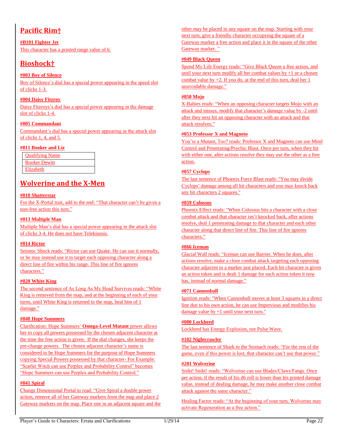# <span id="page-24-0"></span>**Pacific Rim†**

**#B101 Fighter Jet** This character has a printed range value of 6.

# <span id="page-24-1"></span>**Bioshock†**

# **#003 Boy of Silence**

Boy of Silence's dial has a special power appearing in the speed slot of clicks 1-3.

# **#004 Daisy Fitzroy**

Daisy Fitzroys's dial has a special power appearing in the damage slot of clicks 1-4.

# **#005 Commandant**

Commandant's dial has a special power appearing in the attack slot of clicks 1, 4, and 5.

# **#011 Booker and Liz**

| <b>Oualifying Name</b> |
|------------------------|
| <b>Booker Dewitt</b>   |
| Elizabeth              |

# <span id="page-24-2"></span>**Wolverine and the X-Men**

# **#010 Shatterstar**

For the X-Portal trait, add to the end: "That character can't be given a non-free action this turn."

# **#013 Multiple Man**

Multiple Man's dial has a special power appearing in the attack slot of clicks 3-4. He does not have Telekinesis.

# **#014 Rictor**

Seismic Shock reads: "Rictor can use Quake. He can use it normally, or he may instead use it to target each opposing character along a direct line of fire within his range. This line of fire ignores characters."

# **#020 White King**

The second sentence of As Long As My Head Survives reads: "White King is removed from the map, and at the beginning of each of your turns, until White King is returned to the map, heal him of 1 damage."

# **#040 Hope Summers**

Clarification: Hope Summers' **Omega-Level Mutant** power allows her to copy all powers possessed by the chosen adjacent character at the time the free action is given. If the dial changes, she keeps the pre-change powers. The chosen adjacent character's name is considered to be Hope Summers for the purpose of Hope Summers copying Special Powers possessed by that character- For Example: "Scarlet Witch can use Perplex and Probability Control" becomes "Hope Summers can use Perplex and Probability Control."

# **#041 Spiral**

Change Dimensional Portal to read: "Give Spiral a double power action, remove all of her Gateway markers from the map and place 2 Gateway markers on the map. Place one in an adjacent square and the other may be placed in any square on the map. Starting with your next turn, give a friendly character occupying the square of a Gateway marker a free action and place it in the square of the other Gateway marker. "

# **#049 Black Queen**

Spend My Life Energy reads: "Give Black Queen a free action, and until your next turn modify all her combat values by +1 or a chosen combat value by +2. If you do, at the end of this turn, deal her 1 unavoidable damage."

# **#050 Mojo**

X-Babies reads: "When an opposing character targets Mojo with an attack and misses, modify that character's damage value by -2 until after they next hit an opposing character with an attack and that attack resolves."

# **#053 Professor X and Magneto**

You're a Mutant, Too? reads: Professor X and Magneto can use Mind Control and Penetrating/Psychic Blast. Once per turn, when they hit with either one, after actions resolve they may use the other as a free action.

# **#057 Cyclops**

The last sentence of Phoenix Force Blast reads: "You may divide Cyclops' damage among all hit characters and you may knock back any hit characters 2 squares."

# **#059 Colossus**

Phoenix Effect reads: "When Colossus hits a character with a close combat attack and that character isn't knocked back, after actions resolve, deal 1 penetrating damage to that character and each other character along that direct line of fire. This line of fire ignores characters."

# **#066 Iceman**

Glacial Wall reads: "Iceman can use Barrier. When he does, after actions resolve, make a close combat attack targeting each opposing character adjacent to a marker just placed. Each hit character is given an action token and is dealt 1 damage for each action token it now has, instead of normal damage."

# **#071 Cannonball**

Ignition reads: "When Cannonball moves at least 3 squares in a direct line due to his own action, he can use Impervious and modifies his damage value by +1 until your next turn."

# **#080 Lockheed**

Lockheed has Energy Explosion, not Pulse Wave.

# **#102 Nightcrawler**

The last sentence of Shark to the Stomach reads: "For the rest of the game, even if this power is lost, that character can't use that power."

# **#201 Wolverine**

Snikt! Snikt! reads: "Wolverine can use Blades/Claws/Fangs. Once per action, if the result of his d6 roll is lower than his printed damage value, instead of dealing damage, he may make another close combat attack against the same character."

Healing Factor reads: "At the beginning of your turn, Wolverine may activate Regeneration as a free action."